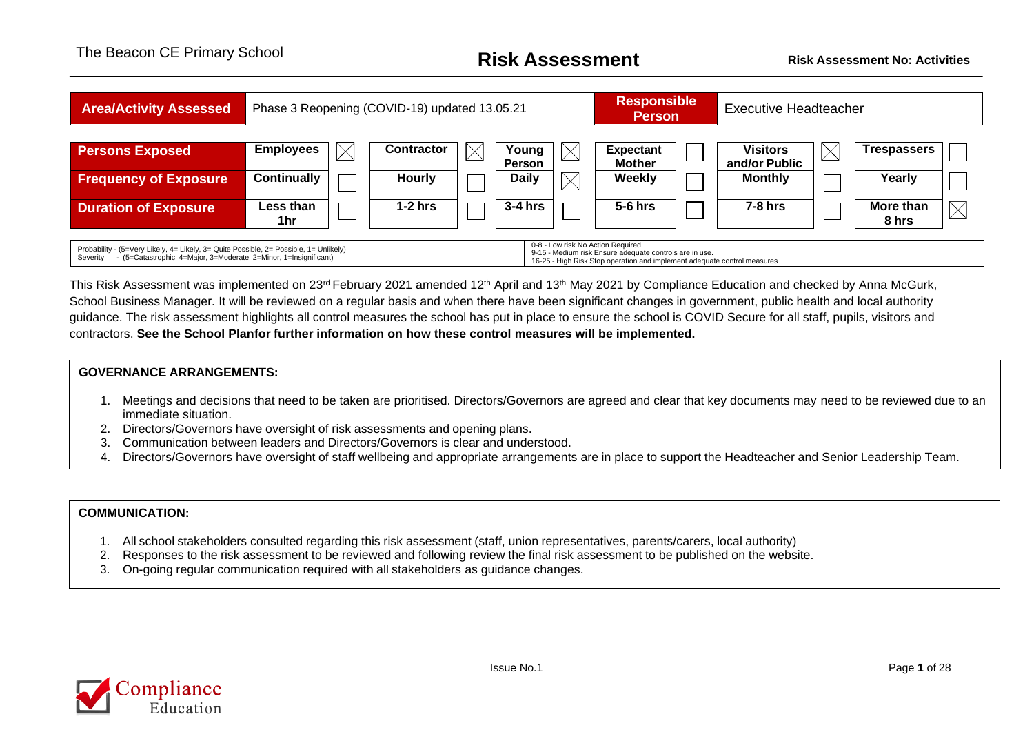| <b>Area/Activity Assessed</b>                                                                                                                                                                                                                                                                                                                       | Phase 3 Reopening (COVID-19) updated 13.05.21 | <b>Responsible</b><br><b>Executive Headteacher</b><br><b>Person</b> |  |                               |          |                                |  |                                 |   |                    |          |
|-----------------------------------------------------------------------------------------------------------------------------------------------------------------------------------------------------------------------------------------------------------------------------------------------------------------------------------------------------|-----------------------------------------------|---------------------------------------------------------------------|--|-------------------------------|----------|--------------------------------|--|---------------------------------|---|--------------------|----------|
| <b>Persons Exposed</b>                                                                                                                                                                                                                                                                                                                              | <b>Employees</b><br>$\times$                  | Contractor                                                          |  | Young                         |          | <b>Expectant</b>               |  | <b>Visitors</b>                 | Х | <b>Trespassers</b> |          |
| <b>Frequency of Exposure</b>                                                                                                                                                                                                                                                                                                                        | <b>Continually</b>                            | <b>Hourly</b>                                                       |  | <b>Person</b><br><b>Daily</b> | $\times$ | <b>Mother</b><br><b>Weekly</b> |  | and/or Public<br><b>Monthly</b> |   | Yearly             |          |
| <b>Duration of Exposure</b>                                                                                                                                                                                                                                                                                                                         | Less than<br>1hr                              | $1-2$ hrs                                                           |  | 3-4 hrs                       |          | $5-6$ hrs                      |  | $7-8$ hrs                       |   | More than<br>8 hrs | $\times$ |
| 0-8 - Low risk No Action Required.<br>Probability - (5=Very Likely, 4= Likely, 3= Quite Possible, 2= Possible, 1= Unlikely)<br>9-15 - Medium risk Ensure adequate controls are in use.<br>- (5=Catastrophic, 4=Major, 3=Moderate, 2=Minor, 1=Insignificant)<br>Severity<br>16-25 - High Risk Stop operation and implement adequate control measures |                                               |                                                                     |  |                               |          |                                |  |                                 |   |                    |          |

This Risk Assessment was implemented on 23<sup>rd</sup> February 2021 amended 12<sup>th</sup> April and 13<sup>th</sup> May 2021 by Compliance Education and checked by Anna McGurk, School Business Manager. It will be reviewed on a regular basis and when there have been significant changes in government, public health and local authority guidance. The risk assessment highlights all control measures the school has put in place to ensure the school is COVID Secure for all staff, pupils, visitors and contractors. **See the School Planfor further information on how these control measures will be implemented.**

### **GOVERNANCE ARRANGEMENTS:**

- 1. Meetings and decisions that need to be taken are prioritised. Directors/Governors are agreed and clear that key documents may need to be reviewed due to an immediate situation.
- 2. Directors/Governors have oversight of risk assessments and opening plans.
- 3. Communication between leaders and Directors/Governors is clear and understood.
- 4. Directors/Governors have oversight of staff wellbeing and appropriate arrangements are in place to support the Headteacher and Senior Leadership Team.

### **COMMUNICATION:**

- 1. All school stakeholders consulted regarding this risk assessment (staff, union representatives, parents/carers, local authority)
- 2. Responses to the risk assessment to be reviewed and following review the final risk assessment to be published on the website.
- 3. On-going regular communication required with all stakeholders as guidance changes.

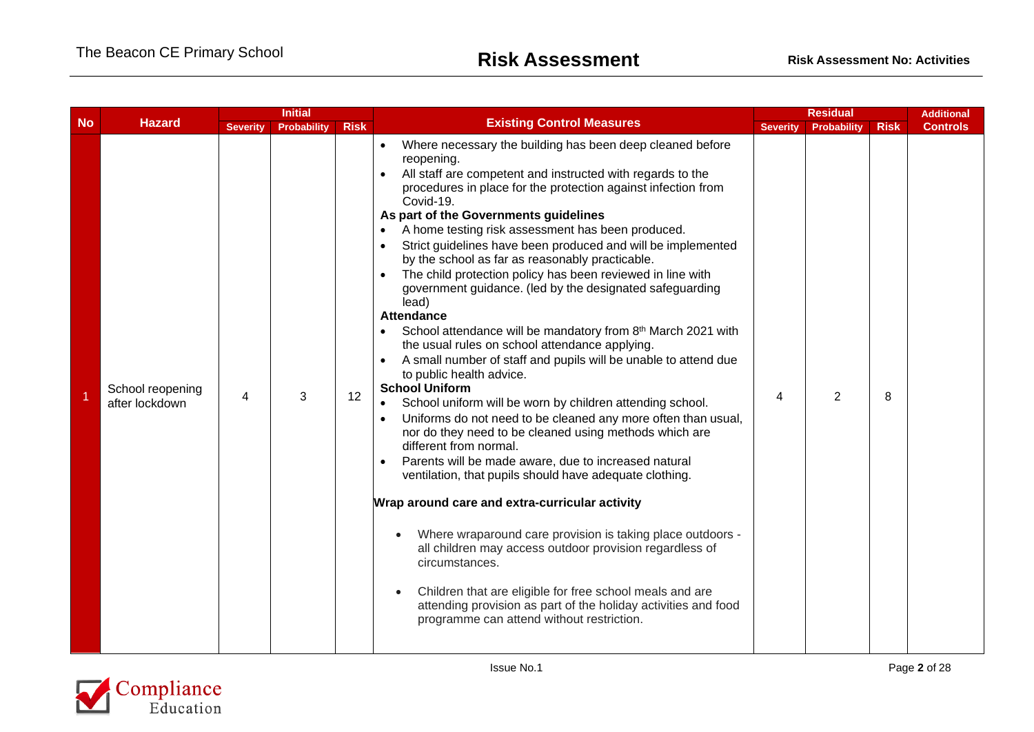|           |                                    | <b>Initial</b>  |                    |             |                                                                                                                                                                                                                                                                                                                                                                                                                                                                                                                                                                                                                                                                                                                                                                                                                                                                                                                                                                                                                                                                                                                                                                                                                                                                                                                                                                                                                                                                                                                                                                                            |                 | <b>Residual</b> |             |                 |  |
|-----------|------------------------------------|-----------------|--------------------|-------------|--------------------------------------------------------------------------------------------------------------------------------------------------------------------------------------------------------------------------------------------------------------------------------------------------------------------------------------------------------------------------------------------------------------------------------------------------------------------------------------------------------------------------------------------------------------------------------------------------------------------------------------------------------------------------------------------------------------------------------------------------------------------------------------------------------------------------------------------------------------------------------------------------------------------------------------------------------------------------------------------------------------------------------------------------------------------------------------------------------------------------------------------------------------------------------------------------------------------------------------------------------------------------------------------------------------------------------------------------------------------------------------------------------------------------------------------------------------------------------------------------------------------------------------------------------------------------------------------|-----------------|-----------------|-------------|-----------------|--|
| <b>No</b> | <b>Hazard</b>                      | <b>Severity</b> | <b>Probability</b> | <b>Risk</b> | <b>Existing Control Measures</b>                                                                                                                                                                                                                                                                                                                                                                                                                                                                                                                                                                                                                                                                                                                                                                                                                                                                                                                                                                                                                                                                                                                                                                                                                                                                                                                                                                                                                                                                                                                                                           | <b>Severity</b> | Probability     | <b>Risk</b> | <b>Controls</b> |  |
|           | School reopening<br>after lockdown | 4               | 3                  | 12          | Where necessary the building has been deep cleaned before<br>$\bullet$<br>reopening.<br>All staff are competent and instructed with regards to the<br>$\bullet$<br>procedures in place for the protection against infection from<br>Covid-19.<br>As part of the Governments guidelines<br>A home testing risk assessment has been produced.<br>Strict guidelines have been produced and will be implemented<br>by the school as far as reasonably practicable.<br>The child protection policy has been reviewed in line with<br>government guidance. (led by the designated safeguarding<br>lead)<br><b>Attendance</b><br>School attendance will be mandatory from 8th March 2021 with<br>the usual rules on school attendance applying.<br>A small number of staff and pupils will be unable to attend due<br>to public health advice.<br><b>School Uniform</b><br>School uniform will be worn by children attending school.<br>Uniforms do not need to be cleaned any more often than usual,<br>nor do they need to be cleaned using methods which are<br>different from normal.<br>Parents will be made aware, due to increased natural<br>$\bullet$<br>ventilation, that pupils should have adequate clothing.<br>Wrap around care and extra-curricular activity<br>Where wraparound care provision is taking place outdoors -<br>all children may access outdoor provision regardless of<br>circumstances.<br>Children that are eligible for free school meals and are<br>attending provision as part of the holiday activities and food<br>programme can attend without restriction. | 4               | $\mathfrak{D}$  | 8           |                 |  |

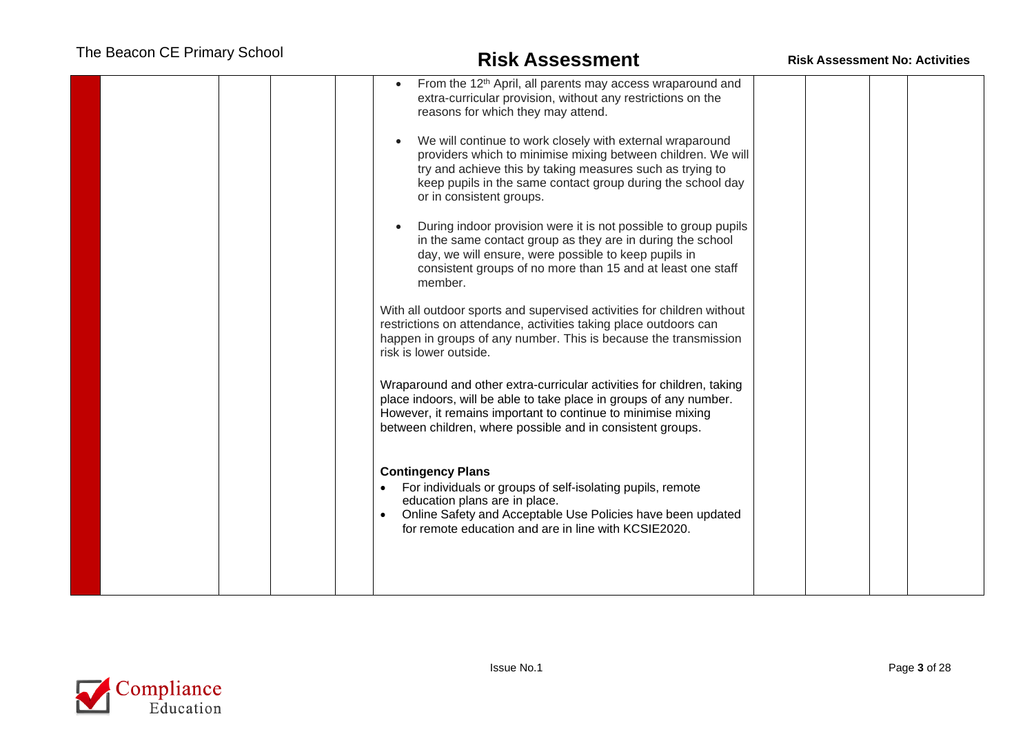| From the 12 <sup>th</sup> April, all parents may access wraparound and<br>extra-curricular provision, without any restrictions on the<br>reasons for which they may attend.                                                                                                       |  |
|-----------------------------------------------------------------------------------------------------------------------------------------------------------------------------------------------------------------------------------------------------------------------------------|--|
| We will continue to work closely with external wraparound<br>providers which to minimise mixing between children. We will<br>try and achieve this by taking measures such as trying to<br>keep pupils in the same contact group during the school day<br>or in consistent groups. |  |
| During indoor provision were it is not possible to group pupils<br>in the same contact group as they are in during the school<br>day, we will ensure, were possible to keep pupils in<br>consistent groups of no more than 15 and at least one staff<br>member.                   |  |
| With all outdoor sports and supervised activities for children without<br>restrictions on attendance, activities taking place outdoors can<br>happen in groups of any number. This is because the transmission<br>risk is lower outside.                                          |  |
| Wraparound and other extra-curricular activities for children, taking<br>place indoors, will be able to take place in groups of any number.<br>However, it remains important to continue to minimise mixing<br>between children, where possible and in consistent groups.         |  |
| <b>Contingency Plans</b><br>For individuals or groups of self-isolating pupils, remote<br>education plans are in place.<br>Online Safety and Acceptable Use Policies have been updated<br>for remote education and are in line with KCSIE2020.                                    |  |
|                                                                                                                                                                                                                                                                                   |  |

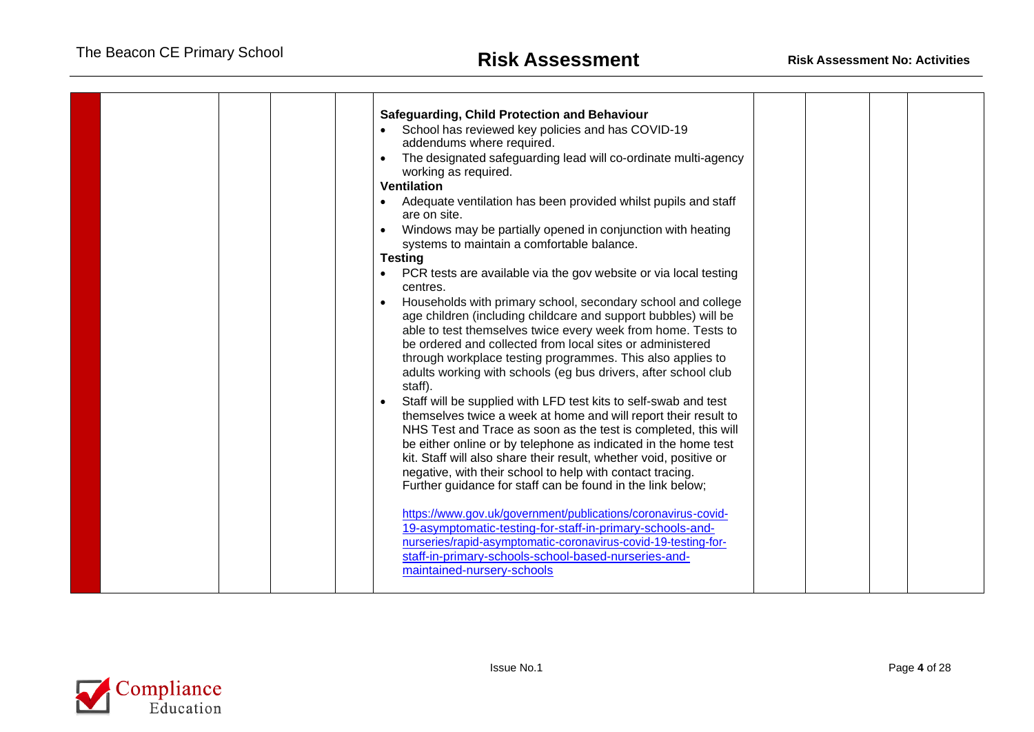| <b>Safeguarding, Child Protection and Behaviour</b><br>School has reviewed key policies and has COVID-19<br>addendums where required.<br>The designated safeguarding lead will co-ordinate multi-agency<br>working as required.<br><b>Ventilation</b><br>Adequate ventilation has been provided whilst pupils and staff<br>are on site.<br>Windows may be partially opened in conjunction with heating<br>systems to maintain a comfortable balance.<br><b>Testing</b><br>PCR tests are available via the gov website or via local testing<br>centres.<br>Households with primary school, secondary school and college<br>age children (including childcare and support bubbles) will be<br>able to test themselves twice every week from home. Tests to<br>be ordered and collected from local sites or administered<br>through workplace testing programmes. This also applies to<br>adults working with schools (eg bus drivers, after school club<br>staff).<br>Staff will be supplied with LFD test kits to self-swab and test<br>themselves twice a week at home and will report their result to<br>NHS Test and Trace as soon as the test is completed, this will<br>be either online or by telephone as indicated in the home test<br>kit. Staff will also share their result, whether void, positive or<br>negative, with their school to help with contact tracing.<br>Further guidance for staff can be found in the link below;<br>https://www.gov.uk/government/publications/coronavirus-covid-<br>19-asymptomatic-testing-for-staff-in-primary-schools-and-<br>nurseries/rapid-asymptomatic-coronavirus-covid-19-testing-for-<br>staff-in-primary-schools-school-based-nurseries-and-<br>maintained-nursery-schools |  |  |  |  |
|-----------------------------------------------------------------------------------------------------------------------------------------------------------------------------------------------------------------------------------------------------------------------------------------------------------------------------------------------------------------------------------------------------------------------------------------------------------------------------------------------------------------------------------------------------------------------------------------------------------------------------------------------------------------------------------------------------------------------------------------------------------------------------------------------------------------------------------------------------------------------------------------------------------------------------------------------------------------------------------------------------------------------------------------------------------------------------------------------------------------------------------------------------------------------------------------------------------------------------------------------------------------------------------------------------------------------------------------------------------------------------------------------------------------------------------------------------------------------------------------------------------------------------------------------------------------------------------------------------------------------------------------------------------------------------------------------------------------------------------|--|--|--|--|
|                                                                                                                                                                                                                                                                                                                                                                                                                                                                                                                                                                                                                                                                                                                                                                                                                                                                                                                                                                                                                                                                                                                                                                                                                                                                                                                                                                                                                                                                                                                                                                                                                                                                                                                                   |  |  |  |  |

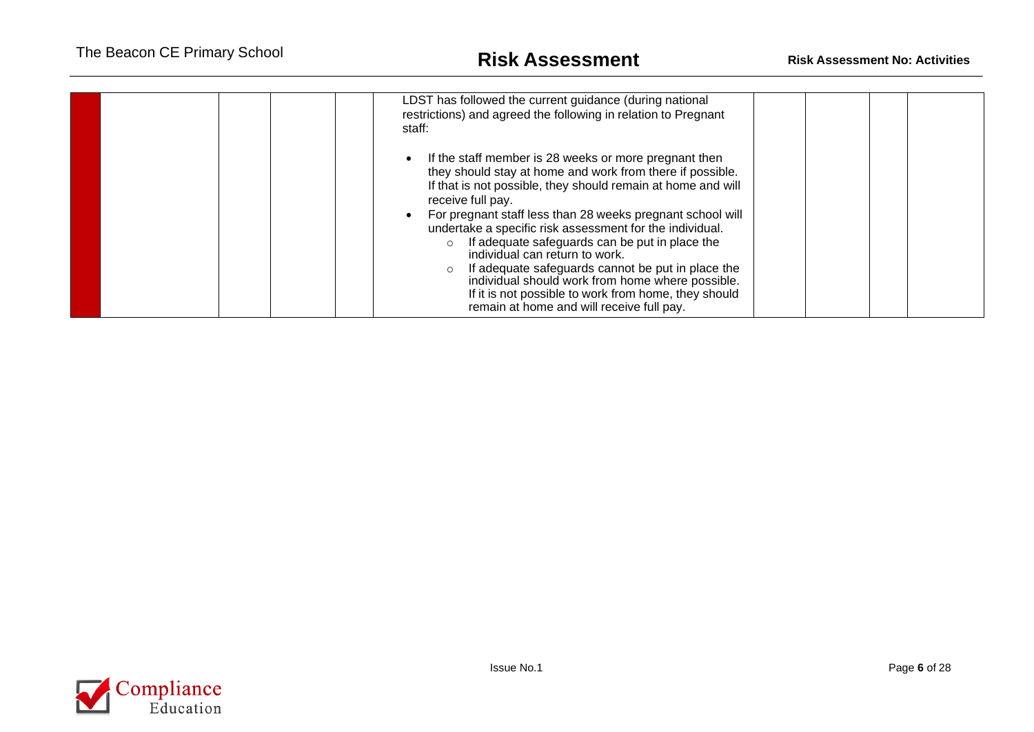| LDST has followed the current guidance (during national<br>restrictions) and agreed the following in relation to Pregnant                                                                                  |  |
|------------------------------------------------------------------------------------------------------------------------------------------------------------------------------------------------------------|--|
| staff:                                                                                                                                                                                                     |  |
| If the staff member is 28 weeks or more pregnant then<br>they should stay at home and work from there if possible.<br>If that is not possible, they should remain at home and will<br>receive full pay.    |  |
| For pregnant staff less than 28 weeks pregnant school will<br>undertake a specific risk assessment for the individual.<br>If adequate safeguards can be put in place the<br>individual can return to work. |  |
| If adequate safeguards cannot be put in place the<br>individual should work from home where possible.<br>If it is not possible to work from home, they should<br>remain at home and will receive full pay. |  |

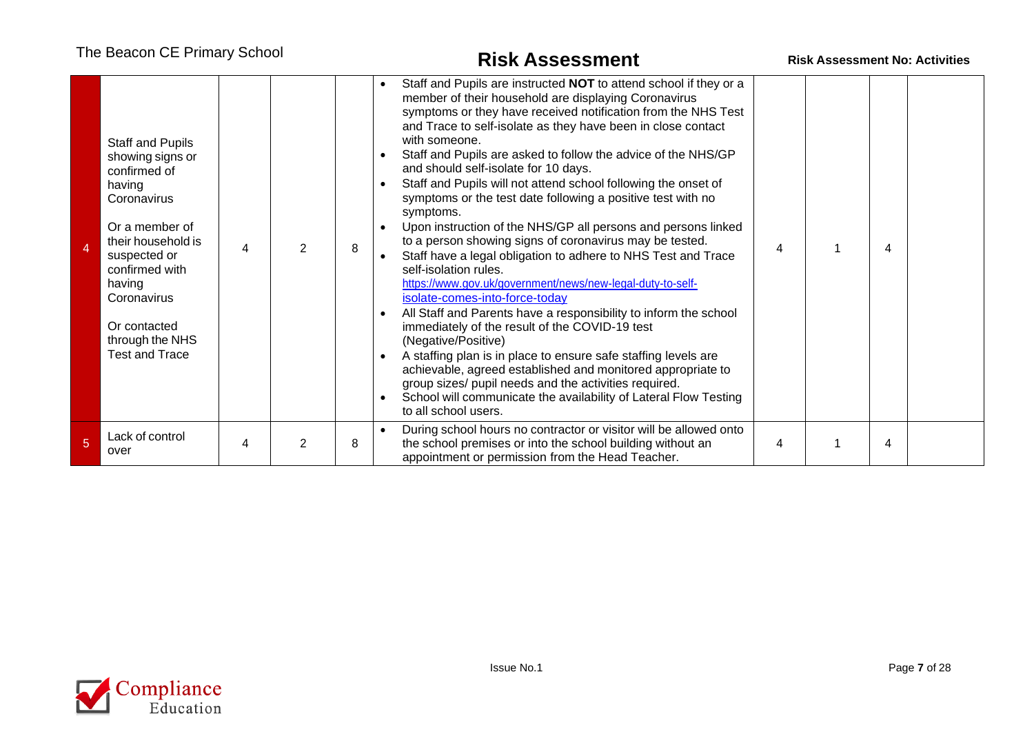|   | Staff and Pupils<br>showing signs or<br>confirmed of<br>having<br>Coronavirus<br>Or a member of<br>their household is<br>suspected or<br>confirmed with<br>having<br>Coronavirus<br>Or contacted<br>through the NHS<br><b>Test and Trace</b> | 4 | $\mathcal{P}$  | 8 | Staff and Pupils are instructed NOT to attend school if they or a<br>member of their household are displaying Coronavirus<br>symptoms or they have received notification from the NHS Test<br>and Trace to self-isolate as they have been in close contact<br>with someone.<br>Staff and Pupils are asked to follow the advice of the NHS/GP<br>and should self-isolate for 10 days.<br>Staff and Pupils will not attend school following the onset of<br>symptoms or the test date following a positive test with no<br>symptoms.<br>Upon instruction of the NHS/GP all persons and persons linked<br>to a person showing signs of coronavirus may be tested.<br>Staff have a legal obligation to adhere to NHS Test and Trace<br>self-isolation rules.<br>https://www.gov.uk/government/news/new-legal-duty-to-self-<br>isolate-comes-into-force-today<br>All Staff and Parents have a responsibility to inform the school<br>immediately of the result of the COVID-19 test<br>(Negative/Positive)<br>A staffing plan is in place to ensure safe staffing levels are<br>achievable, agreed established and monitored appropriate to<br>group sizes/ pupil needs and the activities required.<br>School will communicate the availability of Lateral Flow Testing<br>to all school users. | 4 | 4 |  |
|---|----------------------------------------------------------------------------------------------------------------------------------------------------------------------------------------------------------------------------------------------|---|----------------|---|---------------------------------------------------------------------------------------------------------------------------------------------------------------------------------------------------------------------------------------------------------------------------------------------------------------------------------------------------------------------------------------------------------------------------------------------------------------------------------------------------------------------------------------------------------------------------------------------------------------------------------------------------------------------------------------------------------------------------------------------------------------------------------------------------------------------------------------------------------------------------------------------------------------------------------------------------------------------------------------------------------------------------------------------------------------------------------------------------------------------------------------------------------------------------------------------------------------------------------------------------------------------------------------------|---|---|--|
| 5 | Lack of control<br>over                                                                                                                                                                                                                      | 4 | $\overline{2}$ | 8 | During school hours no contractor or visitor will be allowed onto<br>the school premises or into the school building without an<br>appointment or permission from the Head Teacher.                                                                                                                                                                                                                                                                                                                                                                                                                                                                                                                                                                                                                                                                                                                                                                                                                                                                                                                                                                                                                                                                                                         | 4 | 4 |  |

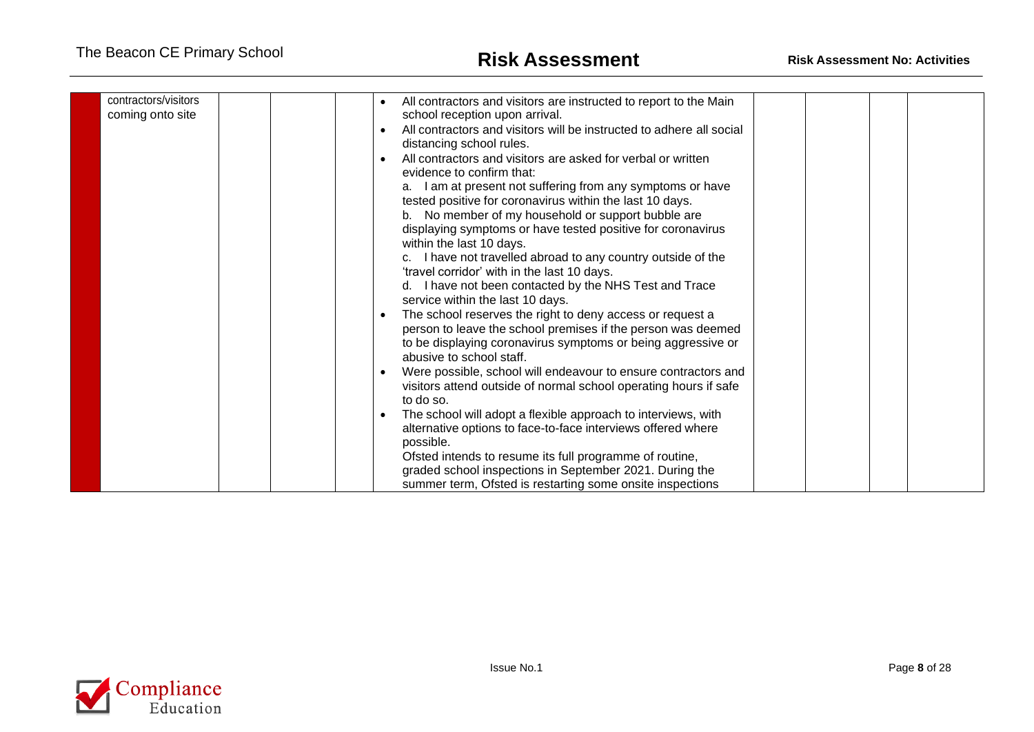| contractors/visitors<br>coming onto site | All contractors and visitors are instructed to report to the Main<br>school reception upon arrival.<br>All contractors and visitors will be instructed to adhere all social<br>distancing school rules.<br>All contractors and visitors are asked for verbal or written<br>evidence to confirm that:<br>a. I am at present not suffering from any symptoms or have<br>tested positive for coronavirus within the last 10 days.<br>b. No member of my household or support bubble are<br>displaying symptoms or have tested positive for coronavirus<br>within the last 10 days.<br>c. I have not travelled abroad to any country outside of the<br>'travel corridor' with in the last 10 days.<br>d. I have not been contacted by the NHS Test and Trace<br>service within the last 10 days.<br>The school reserves the right to deny access or request a<br>person to leave the school premises if the person was deemed<br>to be displaying coronavirus symptoms or being aggressive or<br>abusive to school staff.<br>Were possible, school will endeavour to ensure contractors and<br>visitors attend outside of normal school operating hours if safe<br>to do so.<br>The school will adopt a flexible approach to interviews, with<br>alternative options to face-to-face interviews offered where<br>possible.<br>Ofsted intends to resume its full programme of routine,<br>graded school inspections in September 2021. During the<br>summer term, Ofsted is restarting some onsite inspections |
|------------------------------------------|-----------------------------------------------------------------------------------------------------------------------------------------------------------------------------------------------------------------------------------------------------------------------------------------------------------------------------------------------------------------------------------------------------------------------------------------------------------------------------------------------------------------------------------------------------------------------------------------------------------------------------------------------------------------------------------------------------------------------------------------------------------------------------------------------------------------------------------------------------------------------------------------------------------------------------------------------------------------------------------------------------------------------------------------------------------------------------------------------------------------------------------------------------------------------------------------------------------------------------------------------------------------------------------------------------------------------------------------------------------------------------------------------------------------------------------------------------------------------------------------------------------|

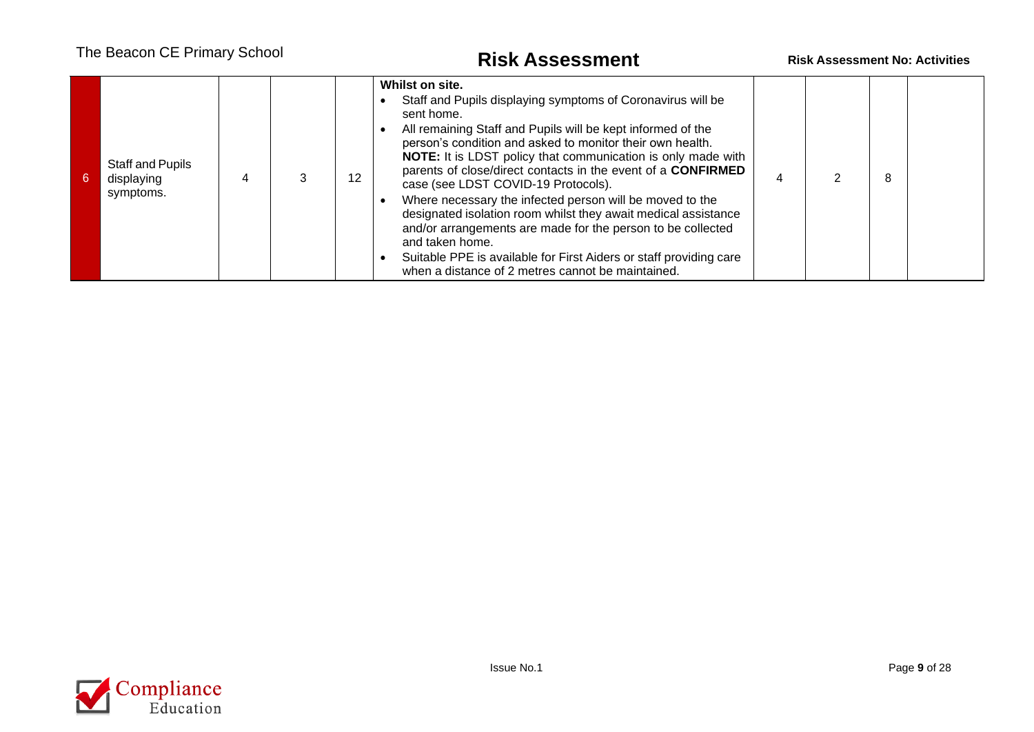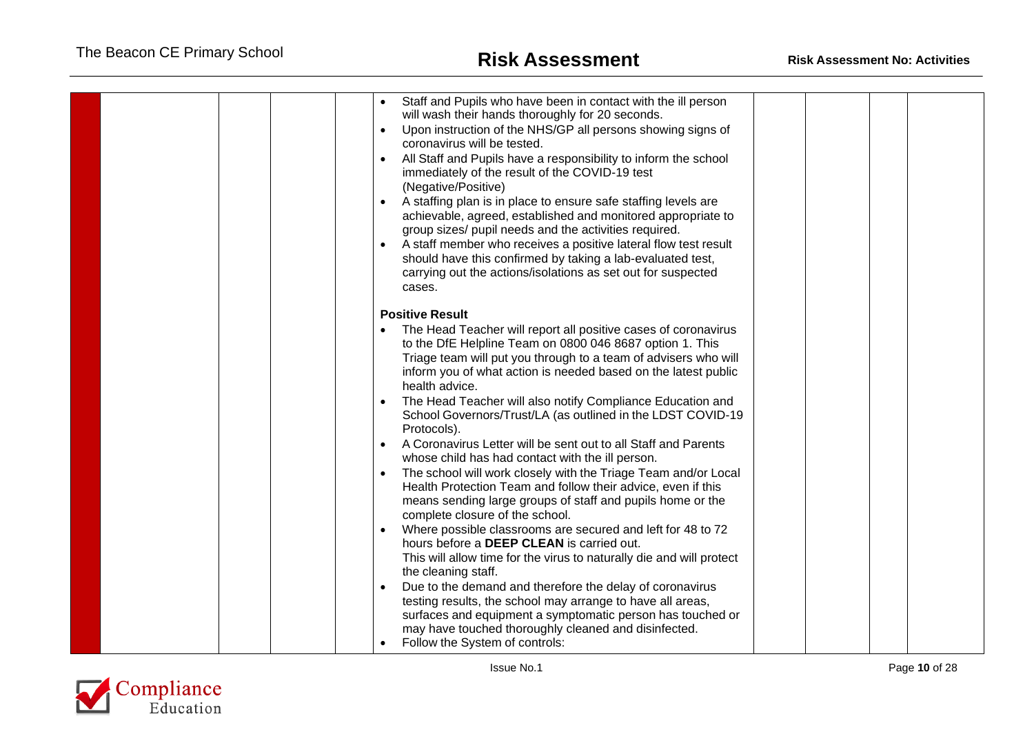| Staff and Pupils who have been in contact with the ill person<br>will wash their hands thoroughly for 20 seconds.<br>Upon instruction of the NHS/GP all persons showing signs of<br>$\bullet$<br>coronavirus will be tested.<br>All Staff and Pupils have a responsibility to inform the school<br>$\bullet$<br>immediately of the result of the COVID-19 test<br>(Negative/Positive)<br>A staffing plan is in place to ensure safe staffing levels are<br>$\bullet$<br>achievable, agreed, established and monitored appropriate to<br>group sizes/ pupil needs and the activities required.<br>A staff member who receives a positive lateral flow test result<br>should have this confirmed by taking a lab-evaluated test,<br>carrying out the actions/isolations as set out for suspected<br>cases.                                                                                                                                                                                                                                                                                                                                                                                                                                                   |  |
|------------------------------------------------------------------------------------------------------------------------------------------------------------------------------------------------------------------------------------------------------------------------------------------------------------------------------------------------------------------------------------------------------------------------------------------------------------------------------------------------------------------------------------------------------------------------------------------------------------------------------------------------------------------------------------------------------------------------------------------------------------------------------------------------------------------------------------------------------------------------------------------------------------------------------------------------------------------------------------------------------------------------------------------------------------------------------------------------------------------------------------------------------------------------------------------------------------------------------------------------------------|--|
| <b>Positive Result</b><br>The Head Teacher will report all positive cases of coronavirus<br>to the DfE Helpline Team on 0800 046 8687 option 1. This<br>Triage team will put you through to a team of advisers who will<br>inform you of what action is needed based on the latest public<br>health advice.<br>The Head Teacher will also notify Compliance Education and<br>School Governors/Trust/LA (as outlined in the LDST COVID-19<br>Protocols).<br>A Coronavirus Letter will be sent out to all Staff and Parents<br>$\bullet$<br>whose child has had contact with the ill person.<br>The school will work closely with the Triage Team and/or Local<br>$\bullet$<br>Health Protection Team and follow their advice, even if this<br>means sending large groups of staff and pupils home or the<br>complete closure of the school.<br>Where possible classrooms are secured and left for 48 to 72<br>hours before a DEEP CLEAN is carried out.<br>This will allow time for the virus to naturally die and will protect<br>the cleaning staff.<br>Due to the demand and therefore the delay of coronavirus<br>$\bullet$<br>testing results, the school may arrange to have all areas,<br>surfaces and equipment a symptomatic person has touched or |  |
| may have touched thoroughly cleaned and disinfected.<br>Follow the System of controls:                                                                                                                                                                                                                                                                                                                                                                                                                                                                                                                                                                                                                                                                                                                                                                                                                                                                                                                                                                                                                                                                                                                                                                     |  |

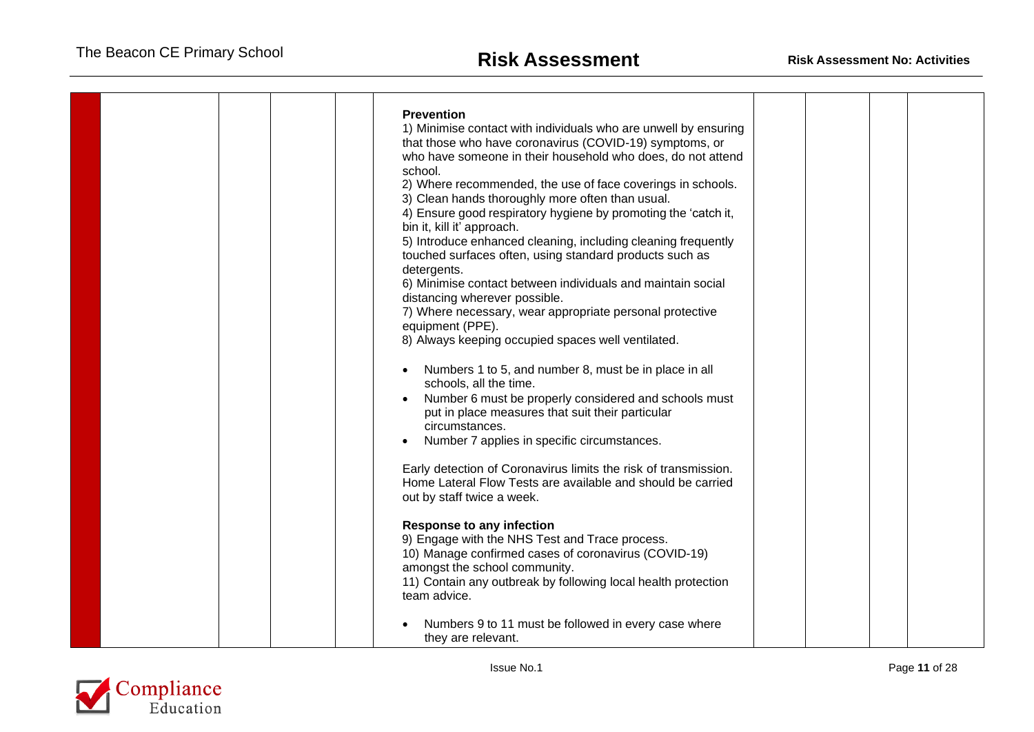|  | <b>Prevention</b><br>1) Minimise contact with individuals who are unwell by ensuring<br>that those who have coronavirus (COVID-19) symptoms, or<br>who have someone in their household who does, do not attend<br>school.<br>2) Where recommended, the use of face coverings in schools.<br>3) Clean hands thoroughly more often than usual.<br>4) Ensure good respiratory hygiene by promoting the 'catch it,<br>bin it, kill it' approach.<br>5) Introduce enhanced cleaning, including cleaning frequently<br>touched surfaces often, using standard products such as<br>detergents.<br>6) Minimise contact between individuals and maintain social<br>distancing wherever possible.<br>7) Where necessary, wear appropriate personal protective<br>equipment (PPE).<br>8) Always keeping occupied spaces well ventilated.<br>Numbers 1 to 5, and number 8, must be in place in all<br>schools, all the time.<br>Number 6 must be properly considered and schools must<br>put in place measures that suit their particular<br>circumstances.<br>Number 7 applies in specific circumstances.<br>Early detection of Coronavirus limits the risk of transmission.<br>Home Lateral Flow Tests are available and should be carried<br>out by staff twice a week.<br><b>Response to any infection</b><br>9) Engage with the NHS Test and Trace process.<br>10) Manage confirmed cases of coronavirus (COVID-19)<br>amongst the school community.<br>11) Contain any outbreak by following local health protection<br>team advice. |  |  |
|--|--------------------------------------------------------------------------------------------------------------------------------------------------------------------------------------------------------------------------------------------------------------------------------------------------------------------------------------------------------------------------------------------------------------------------------------------------------------------------------------------------------------------------------------------------------------------------------------------------------------------------------------------------------------------------------------------------------------------------------------------------------------------------------------------------------------------------------------------------------------------------------------------------------------------------------------------------------------------------------------------------------------------------------------------------------------------------------------------------------------------------------------------------------------------------------------------------------------------------------------------------------------------------------------------------------------------------------------------------------------------------------------------------------------------------------------------------------------------------------------------------------------------------------|--|--|
|  | Numbers 9 to 11 must be followed in every case where<br>they are relevant.                                                                                                                                                                                                                                                                                                                                                                                                                                                                                                                                                                                                                                                                                                                                                                                                                                                                                                                                                                                                                                                                                                                                                                                                                                                                                                                                                                                                                                                     |  |  |

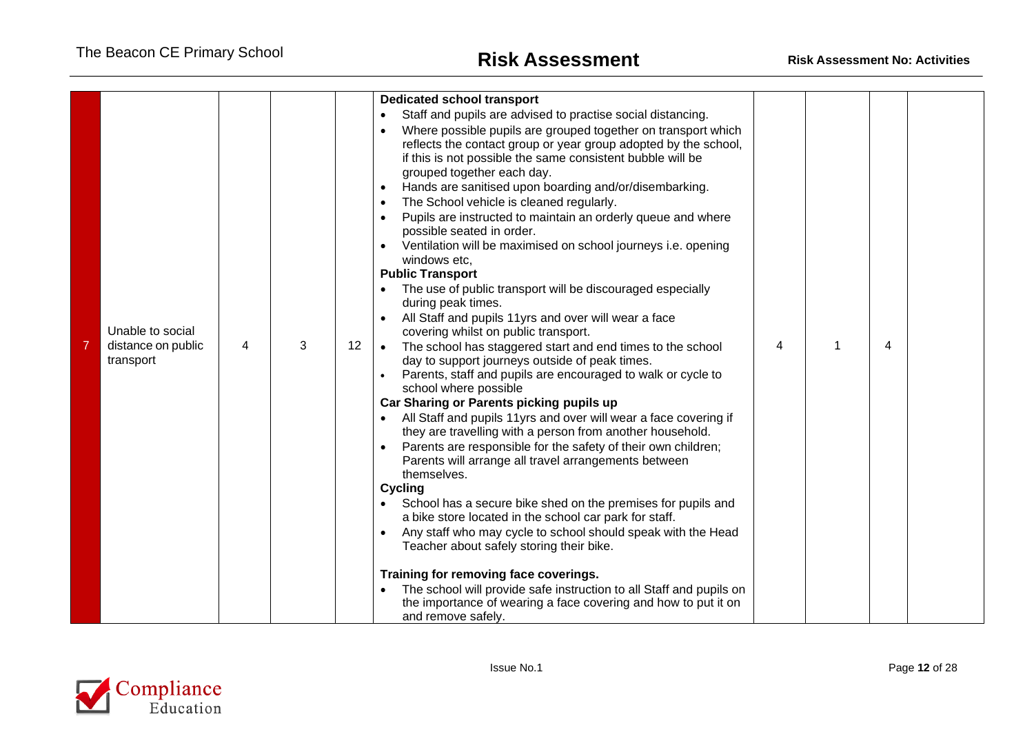| Unable to social<br>distance on public<br>transport | 4 | 3 | 12 | <b>Dedicated school transport</b><br>Staff and pupils are advised to practise social distancing.<br>Where possible pupils are grouped together on transport which<br>reflects the contact group or year group adopted by the school,<br>if this is not possible the same consistent bubble will be<br>grouped together each day.<br>Hands are sanitised upon boarding and/or/disembarking.<br>$\bullet$<br>The School vehicle is cleaned regularly.<br>Pupils are instructed to maintain an orderly queue and where<br>possible seated in order.<br>Ventilation will be maximised on school journeys i.e. opening<br>windows etc,<br><b>Public Transport</b><br>The use of public transport will be discouraged especially<br>during peak times.<br>All Staff and pupils 11yrs and over will wear a face<br>covering whilst on public transport.<br>The school has staggered start and end times to the school<br>$\bullet$<br>day to support journeys outside of peak times.<br>Parents, staff and pupils are encouraged to walk or cycle to<br>school where possible<br>Car Sharing or Parents picking pupils up<br>All Staff and pupils 11yrs and over will wear a face covering if<br>they are travelling with a person from another household.<br>Parents are responsible for the safety of their own children;<br>Parents will arrange all travel arrangements between<br>themselves.<br><b>Cycling</b><br>School has a secure bike shed on the premises for pupils and<br>a bike store located in the school car park for staff.<br>Any staff who may cycle to school should speak with the Head<br>Teacher about safely storing their bike. | 4 | 4 |  |
|-----------------------------------------------------|---|---|----|-----------------------------------------------------------------------------------------------------------------------------------------------------------------------------------------------------------------------------------------------------------------------------------------------------------------------------------------------------------------------------------------------------------------------------------------------------------------------------------------------------------------------------------------------------------------------------------------------------------------------------------------------------------------------------------------------------------------------------------------------------------------------------------------------------------------------------------------------------------------------------------------------------------------------------------------------------------------------------------------------------------------------------------------------------------------------------------------------------------------------------------------------------------------------------------------------------------------------------------------------------------------------------------------------------------------------------------------------------------------------------------------------------------------------------------------------------------------------------------------------------------------------------------------------------------------------------------------------------------------------------------------------------|---|---|--|
|                                                     |   |   |    |                                                                                                                                                                                                                                                                                                                                                                                                                                                                                                                                                                                                                                                                                                                                                                                                                                                                                                                                                                                                                                                                                                                                                                                                                                                                                                                                                                                                                                                                                                                                                                                                                                                     |   |   |  |
|                                                     |   |   |    | Training for removing face coverings.<br>The school will provide safe instruction to all Staff and pupils on<br>the importance of wearing a face covering and how to put it on<br>and remove safely.                                                                                                                                                                                                                                                                                                                                                                                                                                                                                                                                                                                                                                                                                                                                                                                                                                                                                                                                                                                                                                                                                                                                                                                                                                                                                                                                                                                                                                                |   |   |  |

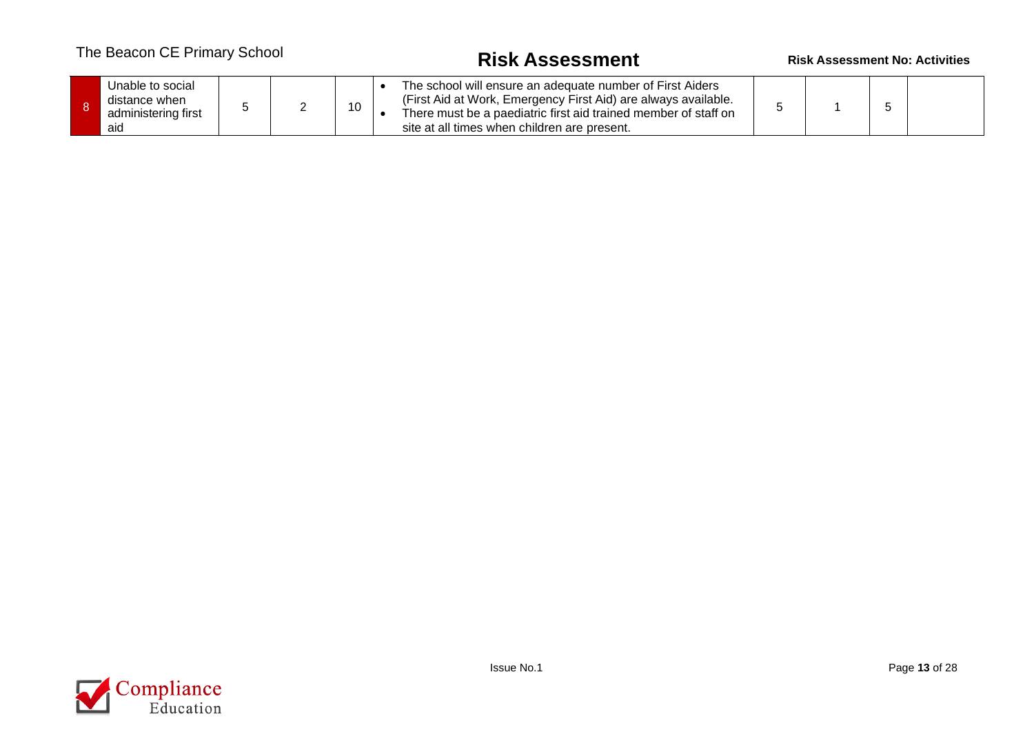# The Beacon CE Primary School **Risk Assessment Risk Assessment No: Activities**

|  | Unable to social<br>distance when<br>administering first<br>aid |  |  |  |  | The school will ensure an adequate number of First Aiders<br>(First Aid at Work, Emergency First Aid) are always available.<br>There must be a paediatric first aid trained member of staff on<br>site at all times when children are present. |  |  |  |  |
|--|-----------------------------------------------------------------|--|--|--|--|------------------------------------------------------------------------------------------------------------------------------------------------------------------------------------------------------------------------------------------------|--|--|--|--|
|--|-----------------------------------------------------------------|--|--|--|--|------------------------------------------------------------------------------------------------------------------------------------------------------------------------------------------------------------------------------------------------|--|--|--|--|

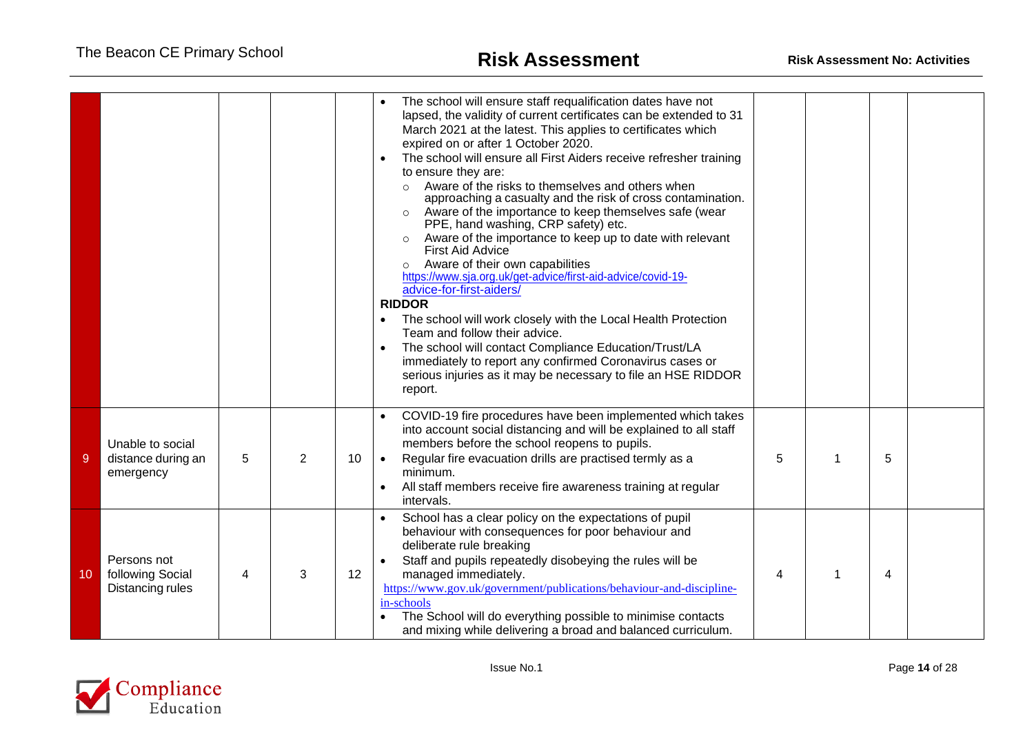|    |                                                     |   |                |    | The school will ensure staff requalification dates have not<br>lapsed, the validity of current certificates can be extended to 31<br>March 2021 at the latest. This applies to certificates which<br>expired on or after 1 October 2020.<br>The school will ensure all First Aiders receive refresher training<br>$\bullet$<br>to ensure they are:<br>Aware of the risks to themselves and others when<br>$\circ$<br>approaching a casualty and the risk of cross contamination.<br>Aware of the importance to keep themselves safe (wear<br>$\circ$<br>PPE, hand washing, CRP safety) etc.<br>Aware of the importance to keep up to date with relevant<br><b>First Aid Advice</b><br>Aware of their own capabilities<br>$\circ$<br>https://www.sja.org.uk/get-advice/first-aid-advice/covid-19-<br>advice-for-first-aiders/<br><b>RIDDOR</b><br>The school will work closely with the Local Health Protection<br>$\bullet$<br>Team and follow their advice.<br>The school will contact Compliance Education/Trust/LA<br>$\bullet$<br>immediately to report any confirmed Coronavirus cases or<br>serious injuries as it may be necessary to file an HSE RIDDOR<br>report. |   |    |   |  |
|----|-----------------------------------------------------|---|----------------|----|----------------------------------------------------------------------------------------------------------------------------------------------------------------------------------------------------------------------------------------------------------------------------------------------------------------------------------------------------------------------------------------------------------------------------------------------------------------------------------------------------------------------------------------------------------------------------------------------------------------------------------------------------------------------------------------------------------------------------------------------------------------------------------------------------------------------------------------------------------------------------------------------------------------------------------------------------------------------------------------------------------------------------------------------------------------------------------------------------------------------------------------------------------------------------|---|----|---|--|
| -9 | Unable to social<br>distance during an<br>emergency | 5 | $\overline{2}$ | 10 | COVID-19 fire procedures have been implemented which takes<br>into account social distancing and will be explained to all staff<br>members before the school reopens to pupils.<br>Regular fire evacuation drills are practised termly as a<br>$\bullet$<br>minimum.<br>All staff members receive fire awareness training at regular<br>$\bullet$<br>intervals.                                                                                                                                                                                                                                                                                                                                                                                                                                                                                                                                                                                                                                                                                                                                                                                                            | 5 |    | 5 |  |
| 10 | Persons not<br>following Social<br>Distancing rules | 4 | 3              | 12 | School has a clear policy on the expectations of pupil<br>behaviour with consequences for poor behaviour and<br>deliberate rule breaking<br>Staff and pupils repeatedly disobeying the rules will be<br>$\bullet$<br>managed immediately.<br>https://www.gov.uk/government/publications/behaviour-and-discipline-<br>in-schools<br>The School will do everything possible to minimise contacts<br>and mixing while delivering a broad and balanced curriculum.                                                                                                                                                                                                                                                                                                                                                                                                                                                                                                                                                                                                                                                                                                             | 4 | -1 | 4 |  |

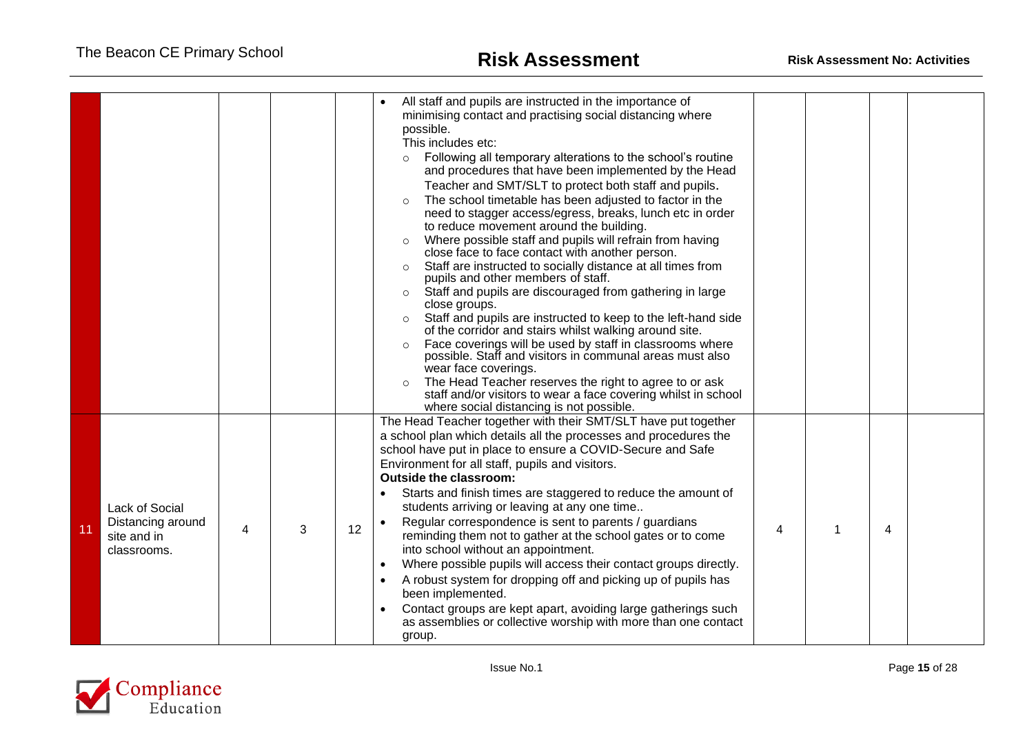|    |                                                                          |   |   |    | All staff and pupils are instructed in the importance of<br>minimising contact and practising social distancing where<br>possible.<br>This includes etc:<br>Following all temporary alterations to the school's routine<br>$\circ$<br>and procedures that have been implemented by the Head<br>Teacher and SMT/SLT to protect both staff and pupils.<br>The school timetable has been adjusted to factor in the<br>$\circ$<br>need to stagger access/egress, breaks, lunch etc in order<br>to reduce movement around the building.<br>Where possible staff and pupils will refrain from having<br>$\circ$<br>close face to face contact with another person.<br>Staff are instructed to socially distance at all times from<br>$\circ$<br>pupils and other members of staff.<br>Staff and pupils are discouraged from gathering in large<br>$\circ$<br>close groups.<br>Staff and pupils are instructed to keep to the left-hand side<br>$\circ$<br>of the corridor and stairs whilst walking around site.<br>Face coverings will be used by staff in classrooms where<br>$\circ$<br>possible. Staff and visitors in communal areas must also<br>wear face coverings.<br>The Head Teacher reserves the right to agree to or ask<br>$\circ$<br>staff and/or visitors to wear a face covering whilst in school |   |   |  |
|----|--------------------------------------------------------------------------|---|---|----|--------------------------------------------------------------------------------------------------------------------------------------------------------------------------------------------------------------------------------------------------------------------------------------------------------------------------------------------------------------------------------------------------------------------------------------------------------------------------------------------------------------------------------------------------------------------------------------------------------------------------------------------------------------------------------------------------------------------------------------------------------------------------------------------------------------------------------------------------------------------------------------------------------------------------------------------------------------------------------------------------------------------------------------------------------------------------------------------------------------------------------------------------------------------------------------------------------------------------------------------------------------------------------------------------------------|---|---|--|
| 11 | <b>Lack of Social</b><br>Distancing around<br>site and in<br>classrooms. | 4 | 3 | 12 | where social distancing is not possible.<br>The Head Teacher together with their SMT/SLT have put together<br>a school plan which details all the processes and procedures the<br>school have put in place to ensure a COVID-Secure and Safe<br>Environment for all staff, pupils and visitors.<br><b>Outside the classroom:</b><br>Starts and finish times are staggered to reduce the amount of<br>students arriving or leaving at any one time<br>Regular correspondence is sent to parents / guardians<br>reminding them not to gather at the school gates or to come<br>into school without an appointment.<br>Where possible pupils will access their contact groups directly.<br>A robust system for dropping off and picking up of pupils has<br>been implemented.<br>Contact groups are kept apart, avoiding large gatherings such<br>as assemblies or collective worship with more than one contact<br>group.                                                                                                                                                                                                                                                                                                                                                                                      | 4 | 4 |  |

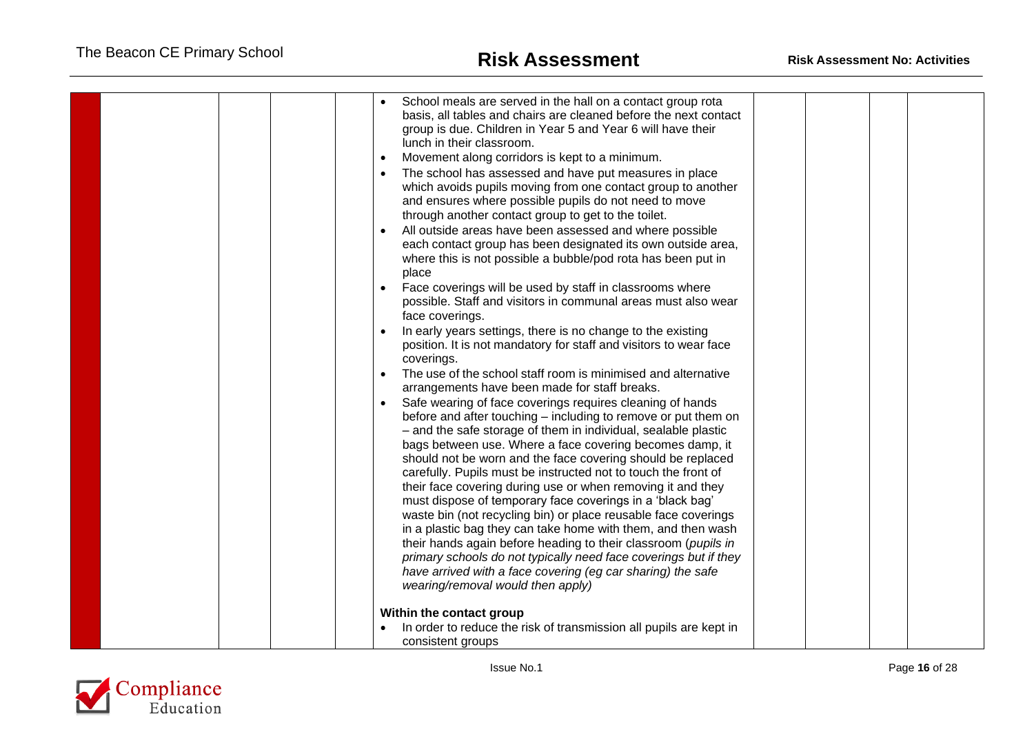| School meals are served in the hall on a contact group rota<br>basis, all tables and chairs are cleaned before the next contact<br>group is due. Children in Year 5 and Year 6 will have their<br>lunch in their classroom.<br>Movement along corridors is kept to a minimum.<br>The school has assessed and have put measures in place<br>which avoids pupils moving from one contact group to another<br>and ensures where possible pupils do not need to move<br>through another contact group to get to the toilet.<br>All outside areas have been assessed and where possible<br>each contact group has been designated its own outside area,<br>where this is not possible a bubble/pod rota has been put in<br>place<br>Face coverings will be used by staff in classrooms where<br>possible. Staff and visitors in communal areas must also wear<br>face coverings.<br>In early years settings, there is no change to the existing<br>position. It is not mandatory for staff and visitors to wear face<br>coverings.<br>The use of the school staff room is minimised and alternative<br>arrangements have been made for staff breaks.<br>Safe wearing of face coverings requires cleaning of hands |  |
|--------------------------------------------------------------------------------------------------------------------------------------------------------------------------------------------------------------------------------------------------------------------------------------------------------------------------------------------------------------------------------------------------------------------------------------------------------------------------------------------------------------------------------------------------------------------------------------------------------------------------------------------------------------------------------------------------------------------------------------------------------------------------------------------------------------------------------------------------------------------------------------------------------------------------------------------------------------------------------------------------------------------------------------------------------------------------------------------------------------------------------------------------------------------------------------------------------------|--|
| before and after touching - including to remove or put them on<br>- and the safe storage of them in individual, sealable plastic<br>bags between use. Where a face covering becomes damp, it<br>should not be worn and the face covering should be replaced<br>carefully. Pupils must be instructed not to touch the front of<br>their face covering during use or when removing it and they<br>must dispose of temporary face coverings in a 'black bag'<br>waste bin (not recycling bin) or place reusable face coverings<br>in a plastic bag they can take home with them, and then wash<br>their hands again before heading to their classroom (pupils in<br>primary schools do not typically need face coverings but if they<br>have arrived with a face covering (eg car sharing) the safe<br>wearing/removal would then apply)<br>Within the contact group<br>In order to reduce the risk of transmission all pupils are kept in                                                                                                                                                                                                                                                                      |  |
| consistent groups                                                                                                                                                                                                                                                                                                                                                                                                                                                                                                                                                                                                                                                                                                                                                                                                                                                                                                                                                                                                                                                                                                                                                                                            |  |

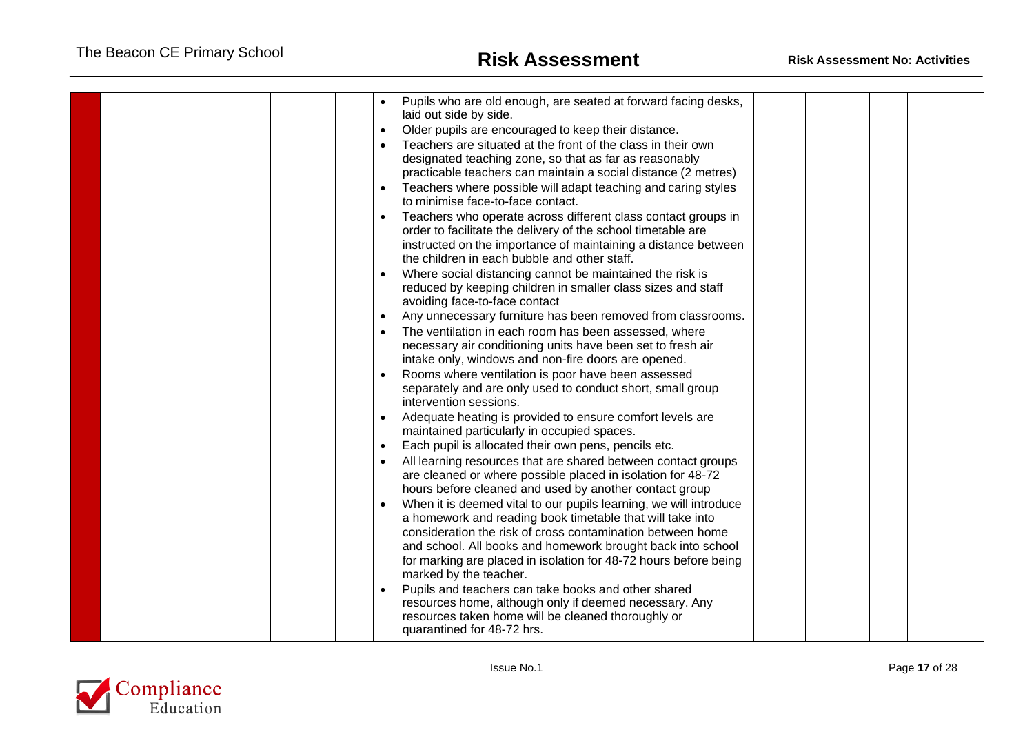|  | Pupils who are old enough, are seated at forward facing desks,<br>laid out side by side.<br>Older pupils are encouraged to keep their distance.<br>$\bullet$<br>Teachers are situated at the front of the class in their own<br>designated teaching zone, so that as far as reasonably<br>practicable teachers can maintain a social distance (2 metres)<br>Teachers where possible will adapt teaching and caring styles<br>to minimise face-to-face contact.<br>Teachers who operate across different class contact groups in<br>order to facilitate the delivery of the school timetable are<br>instructed on the importance of maintaining a distance between<br>the children in each bubble and other staff.<br>Where social distancing cannot be maintained the risk is<br>reduced by keeping children in smaller class sizes and staff<br>avoiding face-to-face contact<br>Any unnecessary furniture has been removed from classrooms.<br>The ventilation in each room has been assessed, where<br>necessary air conditioning units have been set to fresh air<br>intake only, windows and non-fire doors are opened.<br>Rooms where ventilation is poor have been assessed<br>separately and are only used to conduct short, small group<br>intervention sessions.<br>Adequate heating is provided to ensure comfort levels are<br>maintained particularly in occupied spaces.<br>Each pupil is allocated their own pens, pencils etc.<br>All learning resources that are shared between contact groups<br>are cleaned or where possible placed in isolation for 48-72<br>hours before cleaned and used by another contact group<br>When it is deemed vital to our pupils learning, we will introduce<br>a homework and reading book timetable that will take into<br>consideration the risk of cross contamination between home<br>and school. All books and homework brought back into school |  |
|--|---------------------------------------------------------------------------------------------------------------------------------------------------------------------------------------------------------------------------------------------------------------------------------------------------------------------------------------------------------------------------------------------------------------------------------------------------------------------------------------------------------------------------------------------------------------------------------------------------------------------------------------------------------------------------------------------------------------------------------------------------------------------------------------------------------------------------------------------------------------------------------------------------------------------------------------------------------------------------------------------------------------------------------------------------------------------------------------------------------------------------------------------------------------------------------------------------------------------------------------------------------------------------------------------------------------------------------------------------------------------------------------------------------------------------------------------------------------------------------------------------------------------------------------------------------------------------------------------------------------------------------------------------------------------------------------------------------------------------------------------------------------------------------------------------------------------------------------------------------------------------------------------------------|--|
|  | for marking are placed in isolation for 48-72 hours before being<br>marked by the teacher.<br>Pupils and teachers can take books and other shared<br>resources home, although only if deemed necessary. Any<br>resources taken home will be cleaned thoroughly or<br>quarantined for 48-72 hrs.                                                                                                                                                                                                                                                                                                                                                                                                                                                                                                                                                                                                                                                                                                                                                                                                                                                                                                                                                                                                                                                                                                                                                                                                                                                                                                                                                                                                                                                                                                                                                                                                         |  |

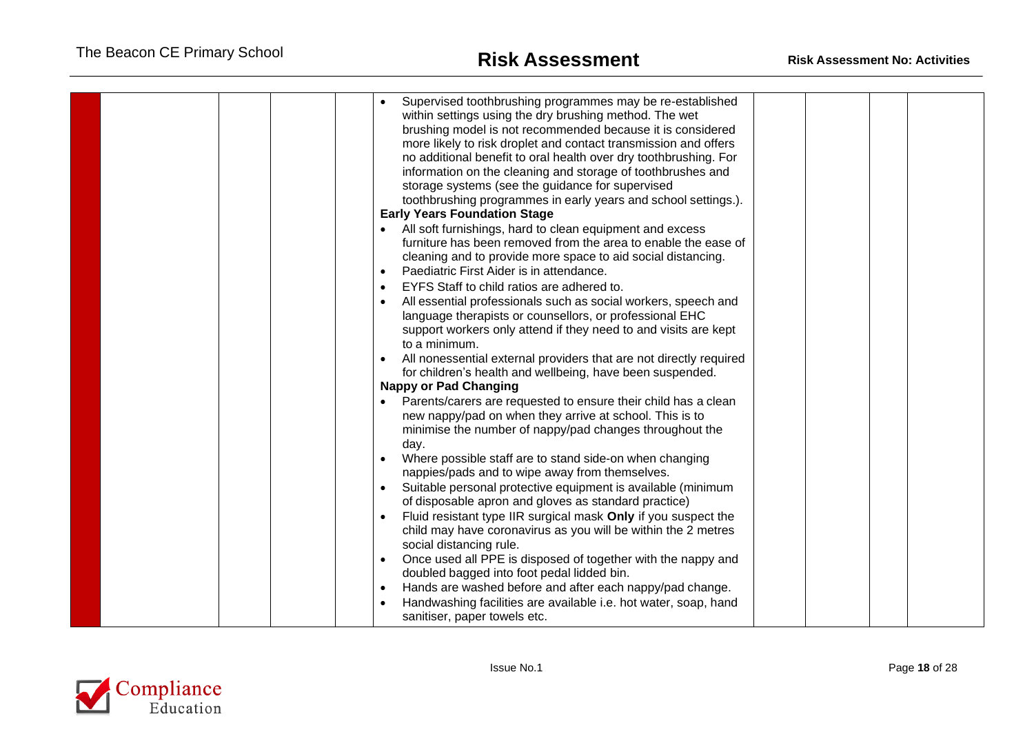|  |  | Supervised toothbrushing programmes may be re-established<br>within settings using the dry brushing method. The wet<br>brushing model is not recommended because it is considered<br>more likely to risk droplet and contact transmission and offers<br>no additional benefit to oral health over dry toothbrushing. For<br>information on the cleaning and storage of toothbrushes and<br>storage systems (see the guidance for supervised<br>toothbrushing programmes in early years and school settings.).<br><b>Early Years Foundation Stage</b><br>All soft furnishings, hard to clean equipment and excess<br>$\bullet$<br>furniture has been removed from the area to enable the ease of<br>cleaning and to provide more space to aid social distancing.<br>Paediatric First Aider is in attendance.<br>$\bullet$<br>EYFS Staff to child ratios are adhered to.<br>All essential professionals such as social workers, speech and<br>language therapists or counsellors, or professional EHC<br>support workers only attend if they need to and visits are kept<br>to a minimum.<br>All nonessential external providers that are not directly required<br>$\bullet$<br>for children's health and wellbeing, have been suspended.<br><b>Nappy or Pad Changing</b><br>Parents/carers are requested to ensure their child has a clean<br>$\bullet$<br>new nappy/pad on when they arrive at school. This is to<br>minimise the number of nappy/pad changes throughout the<br>day.<br>Where possible staff are to stand side-on when changing<br>$\bullet$<br>nappies/pads and to wipe away from themselves.<br>Suitable personal protective equipment is available (minimum<br>$\bullet$<br>of disposable apron and gloves as standard practice)<br>Fluid resistant type IIR surgical mask Only if you suspect the<br>$\bullet$ |  |  |
|--|--|------------------------------------------------------------------------------------------------------------------------------------------------------------------------------------------------------------------------------------------------------------------------------------------------------------------------------------------------------------------------------------------------------------------------------------------------------------------------------------------------------------------------------------------------------------------------------------------------------------------------------------------------------------------------------------------------------------------------------------------------------------------------------------------------------------------------------------------------------------------------------------------------------------------------------------------------------------------------------------------------------------------------------------------------------------------------------------------------------------------------------------------------------------------------------------------------------------------------------------------------------------------------------------------------------------------------------------------------------------------------------------------------------------------------------------------------------------------------------------------------------------------------------------------------------------------------------------------------------------------------------------------------------------------------------------------------------------------------------------------------------------------------------------------------------------------------------------|--|--|
|  |  |                                                                                                                                                                                                                                                                                                                                                                                                                                                                                                                                                                                                                                                                                                                                                                                                                                                                                                                                                                                                                                                                                                                                                                                                                                                                                                                                                                                                                                                                                                                                                                                                                                                                                                                                                                                                                                    |  |  |
|  |  |                                                                                                                                                                                                                                                                                                                                                                                                                                                                                                                                                                                                                                                                                                                                                                                                                                                                                                                                                                                                                                                                                                                                                                                                                                                                                                                                                                                                                                                                                                                                                                                                                                                                                                                                                                                                                                    |  |  |
|  |  | child may have coronavirus as you will be within the 2 metres<br>social distancing rule.                                                                                                                                                                                                                                                                                                                                                                                                                                                                                                                                                                                                                                                                                                                                                                                                                                                                                                                                                                                                                                                                                                                                                                                                                                                                                                                                                                                                                                                                                                                                                                                                                                                                                                                                           |  |  |
|  |  | Once used all PPE is disposed of together with the nappy and<br>$\bullet$<br>doubled bagged into foot pedal lidded bin.                                                                                                                                                                                                                                                                                                                                                                                                                                                                                                                                                                                                                                                                                                                                                                                                                                                                                                                                                                                                                                                                                                                                                                                                                                                                                                                                                                                                                                                                                                                                                                                                                                                                                                            |  |  |
|  |  | Hands are washed before and after each nappy/pad change.<br>$\bullet$<br>Handwashing facilities are available i.e. hot water, soap, hand                                                                                                                                                                                                                                                                                                                                                                                                                                                                                                                                                                                                                                                                                                                                                                                                                                                                                                                                                                                                                                                                                                                                                                                                                                                                                                                                                                                                                                                                                                                                                                                                                                                                                           |  |  |
|  |  | sanitiser, paper towels etc.                                                                                                                                                                                                                                                                                                                                                                                                                                                                                                                                                                                                                                                                                                                                                                                                                                                                                                                                                                                                                                                                                                                                                                                                                                                                                                                                                                                                                                                                                                                                                                                                                                                                                                                                                                                                       |  |  |

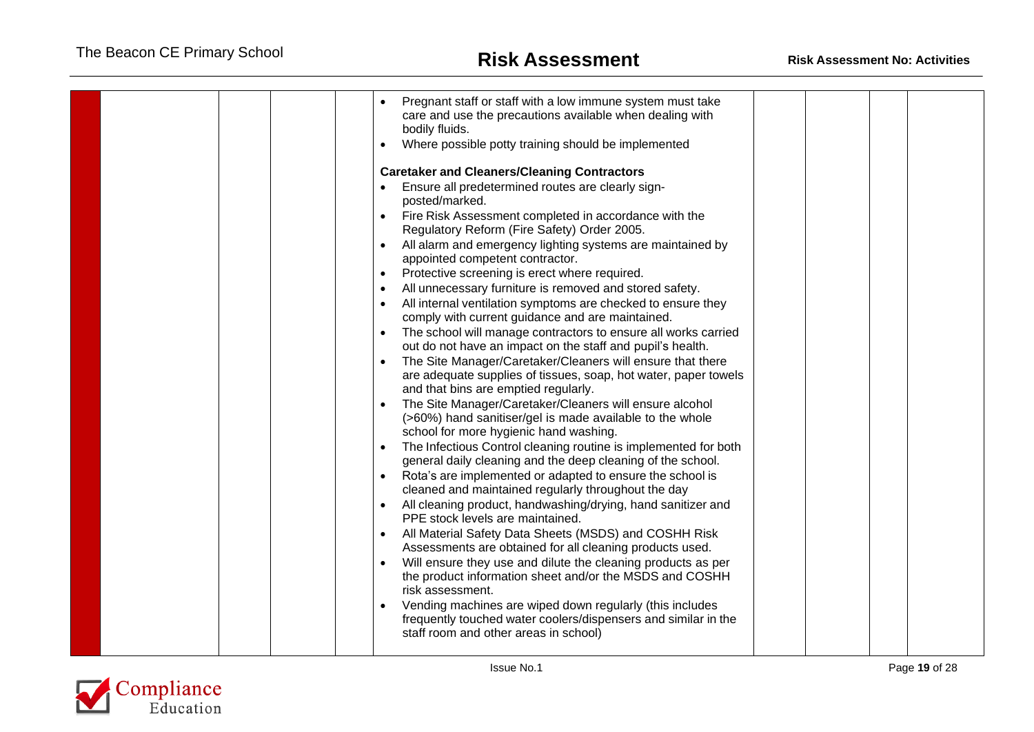|  | Pregnant staff or staff with a low immune system must take<br>care and use the precautions available when dealing with<br>bodily fluids.<br>Where possible potty training should be implemented<br>$\bullet$<br><b>Caretaker and Cleaners/Cleaning Contractors</b><br>Ensure all predetermined routes are clearly sign-<br>posted/marked.<br>Fire Risk Assessment completed in accordance with the<br>Regulatory Reform (Fire Safety) Order 2005.<br>All alarm and emergency lighting systems are maintained by<br>appointed competent contractor.<br>Protective screening is erect where required.<br>$\bullet$<br>All unnecessary furniture is removed and stored safety.<br>All internal ventilation symptoms are checked to ensure they<br>comply with current guidance and are maintained.<br>The school will manage contractors to ensure all works carried<br>out do not have an impact on the staff and pupil's health.<br>The Site Manager/Caretaker/Cleaners will ensure that there<br>are adequate supplies of tissues, soap, hot water, paper towels<br>and that bins are emptied regularly.<br>The Site Manager/Caretaker/Cleaners will ensure alcohol<br>(>60%) hand sanitiser/gel is made available to the whole<br>school for more hygienic hand washing.<br>The Infectious Control cleaning routine is implemented for both<br>general daily cleaning and the deep cleaning of the school.<br>Rota's are implemented or adapted to ensure the school is<br>cleaned and maintained regularly throughout the day<br>All cleaning product, handwashing/drying, hand sanitizer and<br>PPE stock levels are maintained.<br>All Material Safety Data Sheets (MSDS) and COSHH Risk<br>Assessments are obtained for all cleaning products used.<br>Will ensure they use and dilute the cleaning products as per<br>the product information sheet and/or the MSDS and COSHH<br>risk assessment.<br>Vending machines are wiped down regularly (this includes<br>frequently touched water coolers/dispensers and similar in the<br>staff room and other areas in school) |  |  |  |
|--|--------------------------------------------------------------------------------------------------------------------------------------------------------------------------------------------------------------------------------------------------------------------------------------------------------------------------------------------------------------------------------------------------------------------------------------------------------------------------------------------------------------------------------------------------------------------------------------------------------------------------------------------------------------------------------------------------------------------------------------------------------------------------------------------------------------------------------------------------------------------------------------------------------------------------------------------------------------------------------------------------------------------------------------------------------------------------------------------------------------------------------------------------------------------------------------------------------------------------------------------------------------------------------------------------------------------------------------------------------------------------------------------------------------------------------------------------------------------------------------------------------------------------------------------------------------------------------------------------------------------------------------------------------------------------------------------------------------------------------------------------------------------------------------------------------------------------------------------------------------------------------------------------------------------------------------------------------------------------------------------------------------------------------------------------------------------------------|--|--|--|

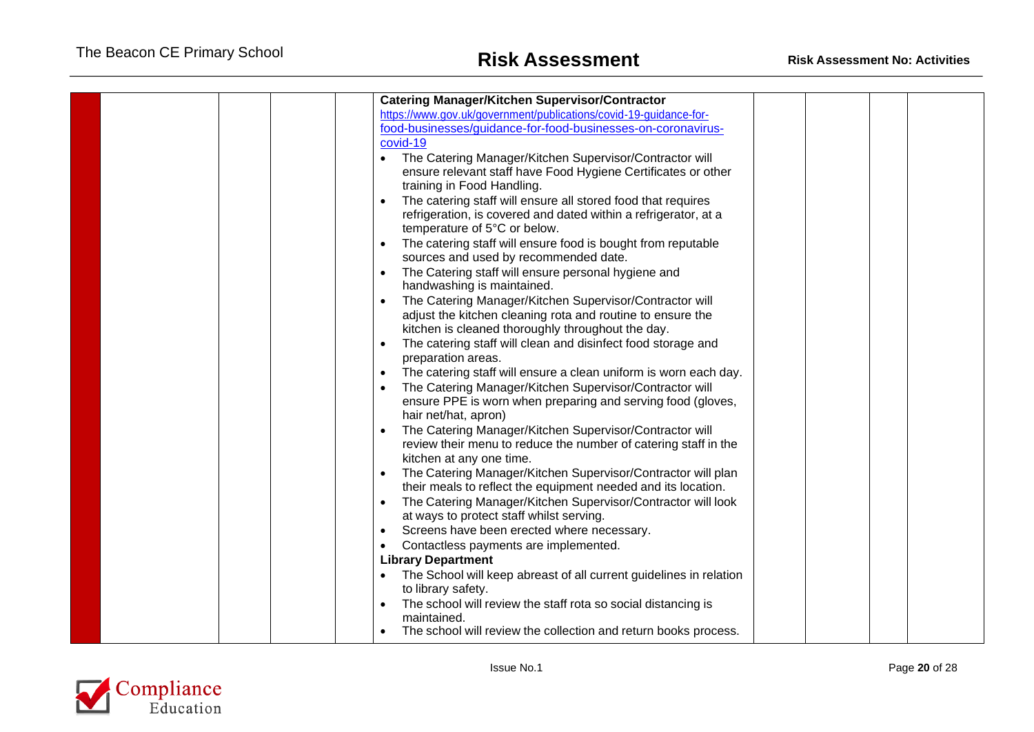|  |  |           | <b>Catering Manager/Kitchen Supervisor/Contractor</b>                              |  |  |
|--|--|-----------|------------------------------------------------------------------------------------|--|--|
|  |  |           | https://www.gov.uk/government/publications/covid-19-guidance-for-                  |  |  |
|  |  |           | food-businesses/guidance-for-food-businesses-on-coronavirus-                       |  |  |
|  |  |           | covid-19                                                                           |  |  |
|  |  |           | The Catering Manager/Kitchen Supervisor/Contractor will                            |  |  |
|  |  |           | ensure relevant staff have Food Hygiene Certificates or other                      |  |  |
|  |  |           | training in Food Handling.                                                         |  |  |
|  |  |           | The catering staff will ensure all stored food that requires                       |  |  |
|  |  |           | refrigeration, is covered and dated within a refrigerator, at a                    |  |  |
|  |  |           | temperature of 5°C or below.                                                       |  |  |
|  |  |           | The catering staff will ensure food is bought from reputable                       |  |  |
|  |  |           | sources and used by recommended date.                                              |  |  |
|  |  | $\bullet$ | The Catering staff will ensure personal hygiene and                                |  |  |
|  |  |           | handwashing is maintained.                                                         |  |  |
|  |  |           | The Catering Manager/Kitchen Supervisor/Contractor will                            |  |  |
|  |  |           | adjust the kitchen cleaning rota and routine to ensure the                         |  |  |
|  |  |           | kitchen is cleaned thoroughly throughout the day.                                  |  |  |
|  |  |           | The catering staff will clean and disinfect food storage and<br>preparation areas. |  |  |
|  |  |           | The catering staff will ensure a clean uniform is worn each day.                   |  |  |
|  |  |           | The Catering Manager/Kitchen Supervisor/Contractor will                            |  |  |
|  |  |           | ensure PPE is worn when preparing and serving food (gloves,                        |  |  |
|  |  |           | hair net/hat, apron)                                                               |  |  |
|  |  |           | The Catering Manager/Kitchen Supervisor/Contractor will                            |  |  |
|  |  |           | review their menu to reduce the number of catering staff in the                    |  |  |
|  |  |           | kitchen at any one time.                                                           |  |  |
|  |  |           | The Catering Manager/Kitchen Supervisor/Contractor will plan                       |  |  |
|  |  |           | their meals to reflect the equipment needed and its location.                      |  |  |
|  |  | $\bullet$ | The Catering Manager/Kitchen Supervisor/Contractor will look                       |  |  |
|  |  |           | at ways to protect staff whilst serving.                                           |  |  |
|  |  |           | Screens have been erected where necessary.                                         |  |  |
|  |  |           | Contactless payments are implemented.                                              |  |  |
|  |  |           | <b>Library Department</b>                                                          |  |  |
|  |  |           | The School will keep abreast of all current guidelines in relation                 |  |  |
|  |  |           | to library safety.                                                                 |  |  |
|  |  |           | The school will review the staff rota so social distancing is                      |  |  |
|  |  |           | maintained.                                                                        |  |  |
|  |  |           | The school will review the collection and return books process.                    |  |  |

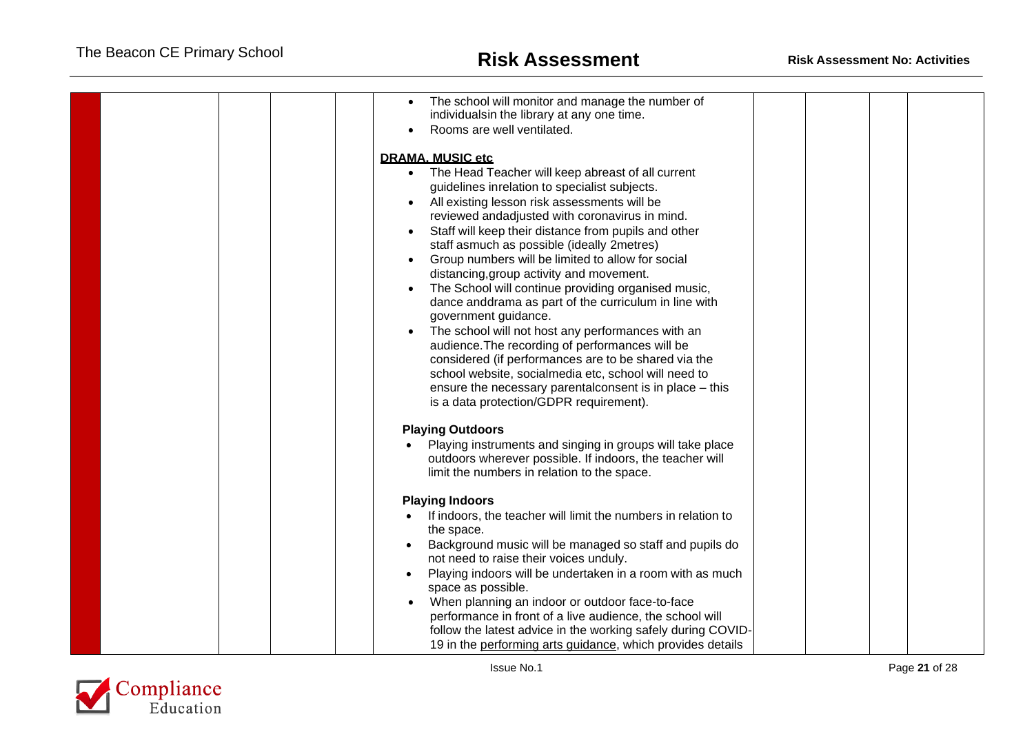|  | The school will monitor and manage the number of<br>individualsin the library at any one time.<br>Rooms are well ventilated.                                                                                                                                                                                                                                                                                                                                                                                                                                                                                                                                                                                                                                                                                                                                                                                                                         |  |
|--|------------------------------------------------------------------------------------------------------------------------------------------------------------------------------------------------------------------------------------------------------------------------------------------------------------------------------------------------------------------------------------------------------------------------------------------------------------------------------------------------------------------------------------------------------------------------------------------------------------------------------------------------------------------------------------------------------------------------------------------------------------------------------------------------------------------------------------------------------------------------------------------------------------------------------------------------------|--|
|  | <b>DRAMA. MUSIC etc</b><br>The Head Teacher will keep abreast of all current<br>$\bullet$<br>guidelines inrelation to specialist subjects.<br>All existing lesson risk assessments will be<br>reviewed andadjusted with coronavirus in mind.<br>Staff will keep their distance from pupils and other<br>staff asmuch as possible (ideally 2metres)<br>Group numbers will be limited to allow for social<br>$\bullet$<br>distancing, group activity and movement.<br>The School will continue providing organised music,<br>dance anddrama as part of the curriculum in line with<br>government guidance.<br>The school will not host any performances with an<br>$\bullet$<br>audience. The recording of performances will be<br>considered (if performances are to be shared via the<br>school website, socialmedia etc, school will need to<br>ensure the necessary parental consent is in place – this<br>is a data protection/GDPR requirement). |  |
|  | <b>Playing Outdoors</b><br>Playing instruments and singing in groups will take place<br>outdoors wherever possible. If indoors, the teacher will<br>limit the numbers in relation to the space.<br><b>Playing Indoors</b><br>If indoors, the teacher will limit the numbers in relation to<br>the space.<br>Background music will be managed so staff and pupils do                                                                                                                                                                                                                                                                                                                                                                                                                                                                                                                                                                                  |  |
|  | not need to raise their voices unduly.<br>Playing indoors will be undertaken in a room with as much<br>space as possible.<br>When planning an indoor or outdoor face-to-face<br>performance in front of a live audience, the school will<br>follow the latest advice in the working safely during COVID-<br>19 in the performing arts guidance, which provides details                                                                                                                                                                                                                                                                                                                                                                                                                                                                                                                                                                               |  |

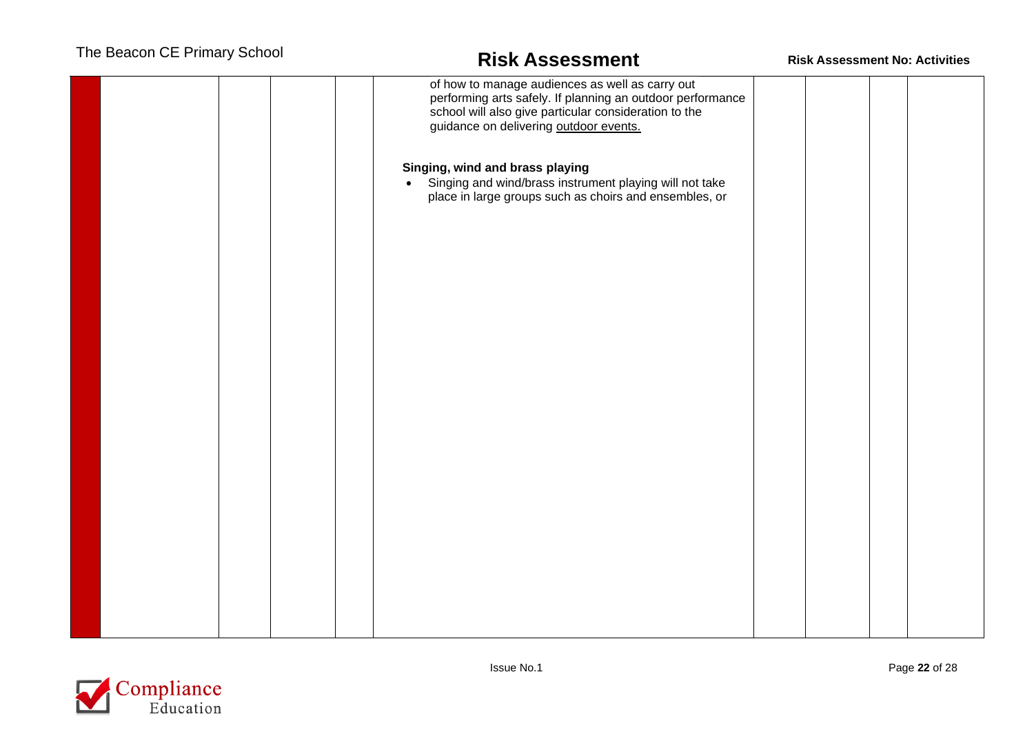|  |  | of how to manage audiences as well as carry out                                                                                |  |  |
|--|--|--------------------------------------------------------------------------------------------------------------------------------|--|--|
|  |  |                                                                                                                                |  |  |
|  |  | performing arts safely. If planning an outdoor performance                                                                     |  |  |
|  |  | school will also give particular consideration to the                                                                          |  |  |
|  |  |                                                                                                                                |  |  |
|  |  | guidance on delivering outdoor events.                                                                                         |  |  |
|  |  |                                                                                                                                |  |  |
|  |  |                                                                                                                                |  |  |
|  |  |                                                                                                                                |  |  |
|  |  |                                                                                                                                |  |  |
|  |  | Singing, wind and brass playing                                                                                                |  |  |
|  |  | Singing and wind/brass instrument playing will not take<br>place in large groups such as choirs and ensembles, or<br>$\bullet$ |  |  |
|  |  |                                                                                                                                |  |  |
|  |  |                                                                                                                                |  |  |
|  |  |                                                                                                                                |  |  |
|  |  |                                                                                                                                |  |  |
|  |  |                                                                                                                                |  |  |
|  |  |                                                                                                                                |  |  |
|  |  |                                                                                                                                |  |  |
|  |  |                                                                                                                                |  |  |
|  |  |                                                                                                                                |  |  |
|  |  |                                                                                                                                |  |  |
|  |  |                                                                                                                                |  |  |
|  |  |                                                                                                                                |  |  |
|  |  |                                                                                                                                |  |  |
|  |  |                                                                                                                                |  |  |
|  |  |                                                                                                                                |  |  |
|  |  |                                                                                                                                |  |  |
|  |  |                                                                                                                                |  |  |
|  |  |                                                                                                                                |  |  |
|  |  |                                                                                                                                |  |  |
|  |  |                                                                                                                                |  |  |
|  |  |                                                                                                                                |  |  |
|  |  |                                                                                                                                |  |  |
|  |  |                                                                                                                                |  |  |
|  |  |                                                                                                                                |  |  |
|  |  |                                                                                                                                |  |  |
|  |  |                                                                                                                                |  |  |
|  |  |                                                                                                                                |  |  |
|  |  |                                                                                                                                |  |  |
|  |  |                                                                                                                                |  |  |
|  |  |                                                                                                                                |  |  |
|  |  |                                                                                                                                |  |  |
|  |  |                                                                                                                                |  |  |
|  |  |                                                                                                                                |  |  |
|  |  |                                                                                                                                |  |  |
|  |  |                                                                                                                                |  |  |
|  |  |                                                                                                                                |  |  |
|  |  |                                                                                                                                |  |  |
|  |  |                                                                                                                                |  |  |
|  |  |                                                                                                                                |  |  |
|  |  |                                                                                                                                |  |  |
|  |  |                                                                                                                                |  |  |
|  |  |                                                                                                                                |  |  |
|  |  |                                                                                                                                |  |  |
|  |  |                                                                                                                                |  |  |
|  |  |                                                                                                                                |  |  |
|  |  |                                                                                                                                |  |  |
|  |  |                                                                                                                                |  |  |
|  |  |                                                                                                                                |  |  |
|  |  |                                                                                                                                |  |  |
|  |  |                                                                                                                                |  |  |
|  |  |                                                                                                                                |  |  |

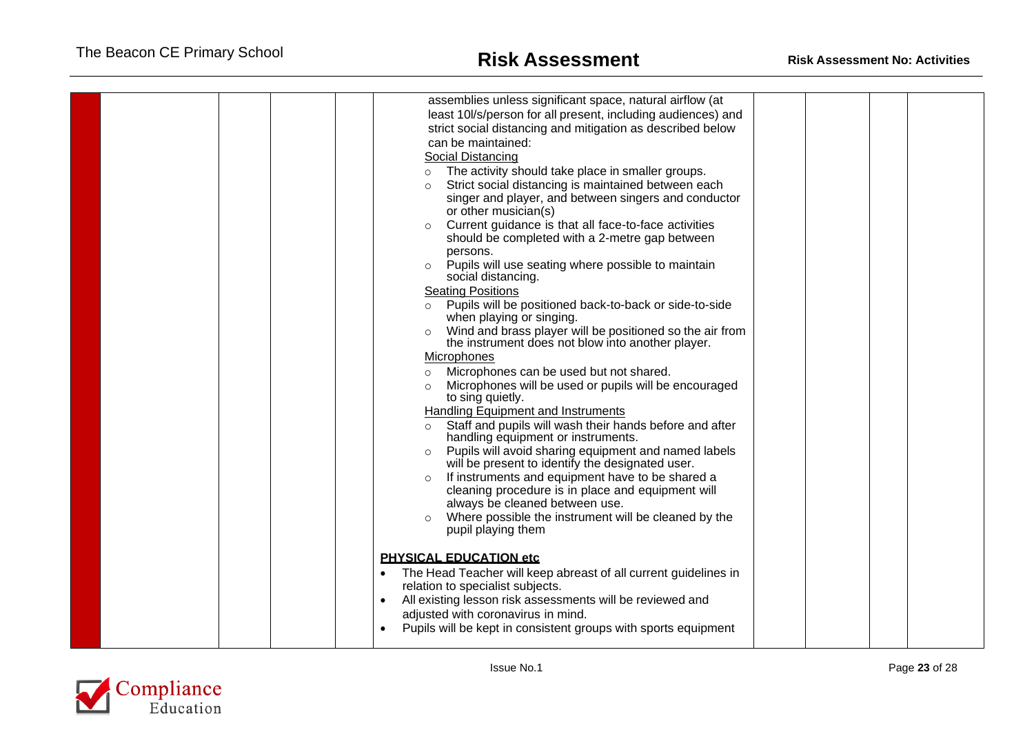| assemblies unless significant space, natural airflow (at<br>least 10l/s/person for all present, including audiences) and<br>strict social distancing and mitigation as described below<br>can be maintained:<br>Social Distancing<br>The activity should take place in smaller groups.<br>$\circ$<br>Strict social distancing is maintained between each<br>singer and player, and between singers and conductor<br>or other musician(s)<br>Current guidance is that all face-to-face activities<br>$\circ$<br>should be completed with a 2-metre gap between<br>persons.<br>Pupils will use seating where possible to maintain<br>social distancing.<br><b>Seating Positions</b><br>Pupils will be positioned back-to-back or side-to-side<br>$\circ$<br>when playing or singing.<br>Wind and brass player will be positioned so the air from<br>$\circ$<br>the instrument does not blow into another player.<br>Microphones<br>Microphones can be used but not shared.<br>$\circ$<br>Microphones will be used or pupils will be encouraged<br>$\circ$<br>to sing quietly.<br><b>Handling Equipment and Instruments</b><br>Staff and pupils will wash their hands before and after<br>handling equipment or instruments.<br>Pupils will avoid sharing equipment and named labels<br>$\circ$<br>will be present to identify the designated user.<br>If instruments and equipment have to be shared a<br>$\circ$<br>cleaning procedure is in place and equipment will<br>always be cleaned between use.<br>Where possible the instrument will be cleaned by the<br>pupil playing them<br><b>PHYSICAL EDUCATION etc</b><br>The Head Teacher will keep abreast of all current guidelines in |  |
|------------------------------------------------------------------------------------------------------------------------------------------------------------------------------------------------------------------------------------------------------------------------------------------------------------------------------------------------------------------------------------------------------------------------------------------------------------------------------------------------------------------------------------------------------------------------------------------------------------------------------------------------------------------------------------------------------------------------------------------------------------------------------------------------------------------------------------------------------------------------------------------------------------------------------------------------------------------------------------------------------------------------------------------------------------------------------------------------------------------------------------------------------------------------------------------------------------------------------------------------------------------------------------------------------------------------------------------------------------------------------------------------------------------------------------------------------------------------------------------------------------------------------------------------------------------------------------------------------------------------------------------------------------------------------------------|--|
| relation to specialist subjects.<br>All existing lesson risk assessments will be reviewed and<br>adjusted with coronavirus in mind.<br>Pupils will be kept in consistent groups with sports equipment                                                                                                                                                                                                                                                                                                                                                                                                                                                                                                                                                                                                                                                                                                                                                                                                                                                                                                                                                                                                                                                                                                                                                                                                                                                                                                                                                                                                                                                                                    |  |
|                                                                                                                                                                                                                                                                                                                                                                                                                                                                                                                                                                                                                                                                                                                                                                                                                                                                                                                                                                                                                                                                                                                                                                                                                                                                                                                                                                                                                                                                                                                                                                                                                                                                                          |  |

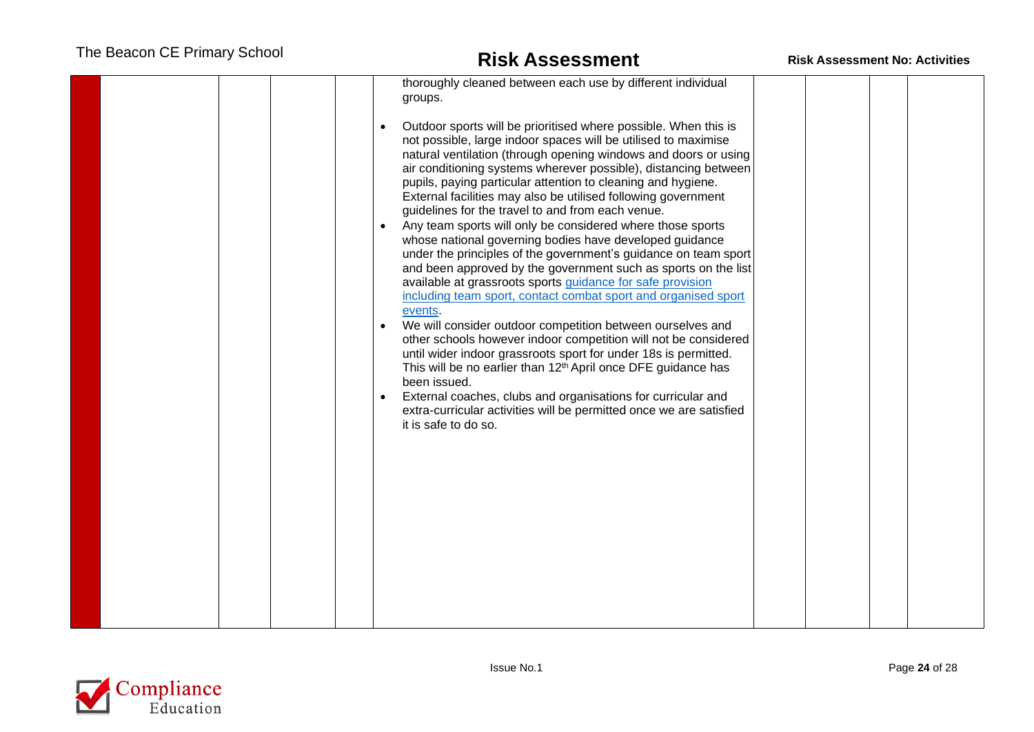|  |  | thoroughly cleaned between each use by different individual<br>groups.<br>Outdoor sports will be prioritised where possible. When this is<br>not possible, large indoor spaces will be utilised to maximise<br>natural ventilation (through opening windows and doors or using<br>air conditioning systems wherever possible), distancing between<br>pupils, paying particular attention to cleaning and hygiene.<br>External facilities may also be utilised following government<br>guidelines for the travel to and from each venue.<br>Any team sports will only be considered where those sports<br>whose national governing bodies have developed guidance<br>under the principles of the government's guidance on team sport<br>and been approved by the government such as sports on the list<br>available at grassroots sports guidance for safe provision<br>including team sport, contact combat sport and organised sport<br>events.<br>We will consider outdoor competition between ourselves and<br>$\bullet$<br>other schools however indoor competition will not be considered<br>until wider indoor grassroots sport for under 18s is permitted.<br>This will be no earlier than 12 <sup>th</sup> April once DFE guidance has<br>been issued.<br>External coaches, clubs and organisations for curricular and<br>extra-curricular activities will be permitted once we are satisfied<br>it is safe to do so. |  |  |
|--|--|-------------------------------------------------------------------------------------------------------------------------------------------------------------------------------------------------------------------------------------------------------------------------------------------------------------------------------------------------------------------------------------------------------------------------------------------------------------------------------------------------------------------------------------------------------------------------------------------------------------------------------------------------------------------------------------------------------------------------------------------------------------------------------------------------------------------------------------------------------------------------------------------------------------------------------------------------------------------------------------------------------------------------------------------------------------------------------------------------------------------------------------------------------------------------------------------------------------------------------------------------------------------------------------------------------------------------------------------------------------------------------------------------------------------------------|--|--|

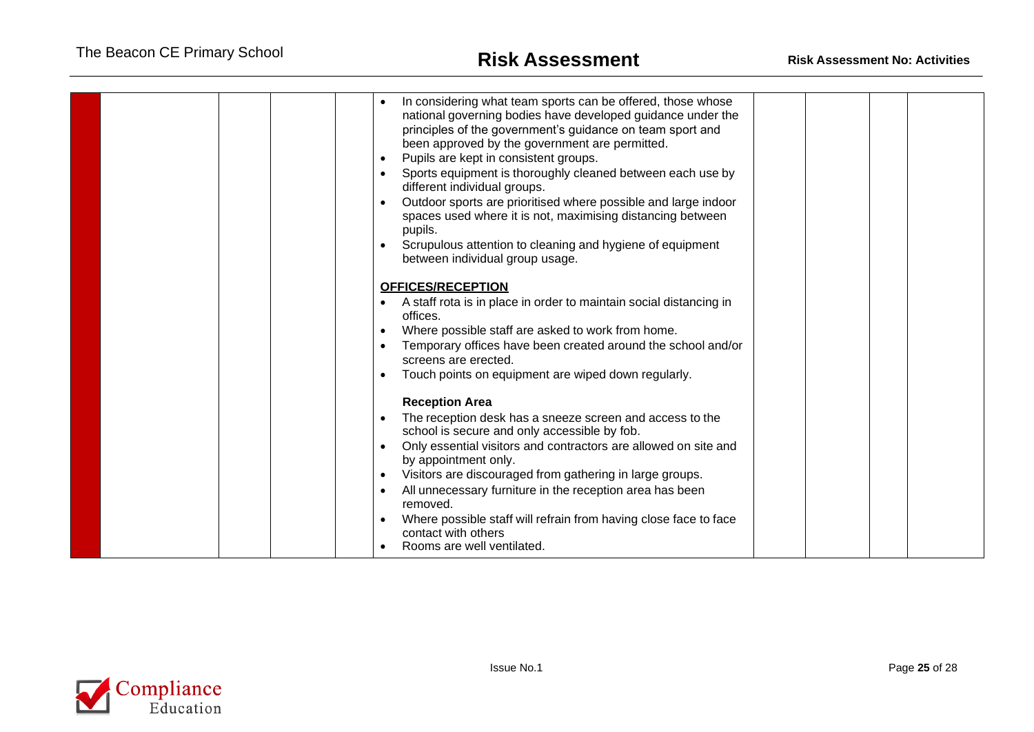| In considering what team sports can be offered, those whose<br>national governing bodies have developed guidance under the<br>principles of the government's guidance on team sport and<br>been approved by the government are permitted.<br>Pupils are kept in consistent groups.<br>Sports equipment is thoroughly cleaned between each use by<br>different individual groups.<br>Outdoor sports are prioritised where possible and large indoor<br>spaces used where it is not, maximising distancing between<br>pupils.<br>Scrupulous attention to cleaning and hygiene of equipment<br>between individual group usage. |  |
|-----------------------------------------------------------------------------------------------------------------------------------------------------------------------------------------------------------------------------------------------------------------------------------------------------------------------------------------------------------------------------------------------------------------------------------------------------------------------------------------------------------------------------------------------------------------------------------------------------------------------------|--|
| <b>OFFICES/RECEPTION</b><br>A staff rota is in place in order to maintain social distancing in<br>offices.<br>Where possible staff are asked to work from home.<br>Temporary offices have been created around the school and/or<br>screens are erected.<br>Touch points on equipment are wiped down regularly.                                                                                                                                                                                                                                                                                                              |  |
| <b>Reception Area</b><br>The reception desk has a sneeze screen and access to the<br>school is secure and only accessible by fob.<br>Only essential visitors and contractors are allowed on site and<br>by appointment only.<br>Visitors are discouraged from gathering in large groups.<br>All unnecessary furniture in the reception area has been<br>removed.<br>Where possible staff will refrain from having close face to face<br>contact with others<br>Rooms are well ventilated.                                                                                                                                   |  |

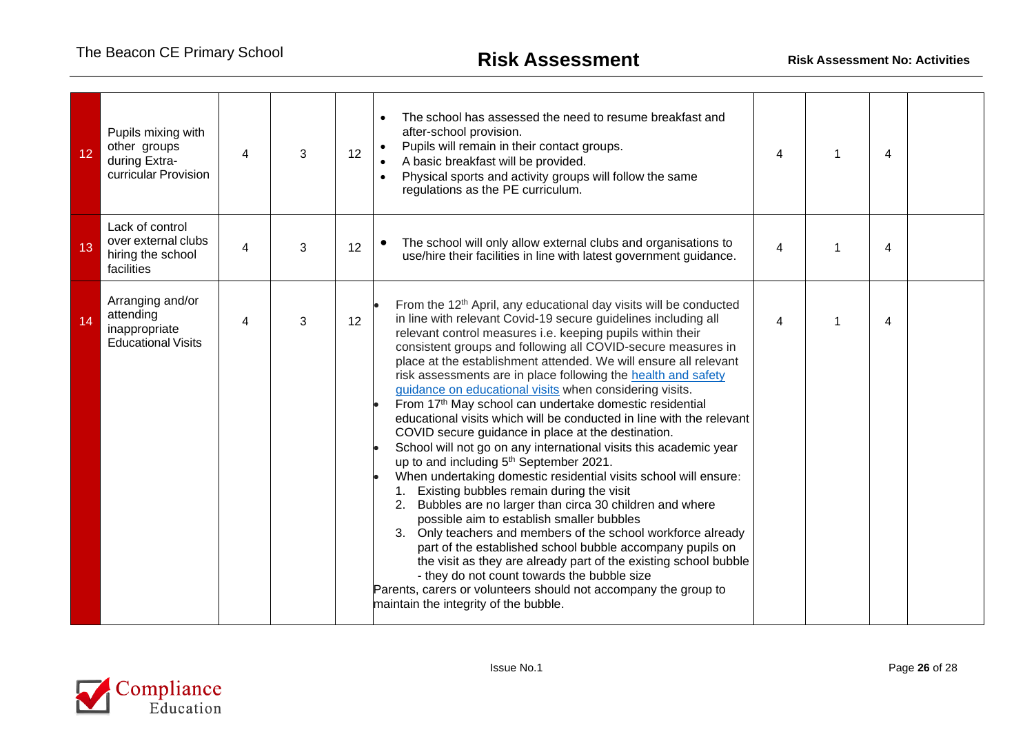| 12 | Pupils mixing with<br>other groups<br>during Extra-<br>curricular Provision | 4 | 3 | 12 | The school has assessed the need to resume breakfast and<br>$\bullet$<br>after-school provision.<br>Pupils will remain in their contact groups.<br>A basic breakfast will be provided.<br>Physical sports and activity groups will follow the same<br>regulations as the PE curriculum.                                                                                                                                                                                                                                                                                                                                                                                                                                                                                                                                                                                                                                                                                                                                                                                                                                                                                                                                                                                                                                                                                                  | 4 | 4 |  |
|----|-----------------------------------------------------------------------------|---|---|----|------------------------------------------------------------------------------------------------------------------------------------------------------------------------------------------------------------------------------------------------------------------------------------------------------------------------------------------------------------------------------------------------------------------------------------------------------------------------------------------------------------------------------------------------------------------------------------------------------------------------------------------------------------------------------------------------------------------------------------------------------------------------------------------------------------------------------------------------------------------------------------------------------------------------------------------------------------------------------------------------------------------------------------------------------------------------------------------------------------------------------------------------------------------------------------------------------------------------------------------------------------------------------------------------------------------------------------------------------------------------------------------|---|---|--|
| 13 | Lack of control<br>over external clubs<br>hiring the school<br>facilities   | 4 | 3 | 12 | The school will only allow external clubs and organisations to<br>$\bullet$<br>use/hire their facilities in line with latest government guidance.                                                                                                                                                                                                                                                                                                                                                                                                                                                                                                                                                                                                                                                                                                                                                                                                                                                                                                                                                                                                                                                                                                                                                                                                                                        | 4 | 4 |  |
| 14 | Arranging and/or<br>attending<br>inappropriate<br><b>Educational Visits</b> | 4 | 3 | 12 | From the 12 <sup>th</sup> April, any educational day visits will be conducted<br>in line with relevant Covid-19 secure guidelines including all<br>relevant control measures i.e. keeping pupils within their<br>consistent groups and following all COVID-secure measures in<br>place at the establishment attended. We will ensure all relevant<br>risk assessments are in place following the health and safety<br>guidance on educational visits when considering visits.<br>From 17th May school can undertake domestic residential<br>educational visits which will be conducted in line with the relevant<br>COVID secure guidance in place at the destination.<br>School will not go on any international visits this academic year<br>up to and including 5 <sup>th</sup> September 2021.<br>When undertaking domestic residential visits school will ensure:<br>Existing bubbles remain during the visit<br>2. Bubbles are no larger than circa 30 children and where<br>possible aim to establish smaller bubbles<br>3. Only teachers and members of the school workforce already<br>part of the established school bubble accompany pupils on<br>the visit as they are already part of the existing school bubble<br>- they do not count towards the bubble size<br>Parents, carers or volunteers should not accompany the group to<br>maintain the integrity of the bubble. | 4 | 4 |  |

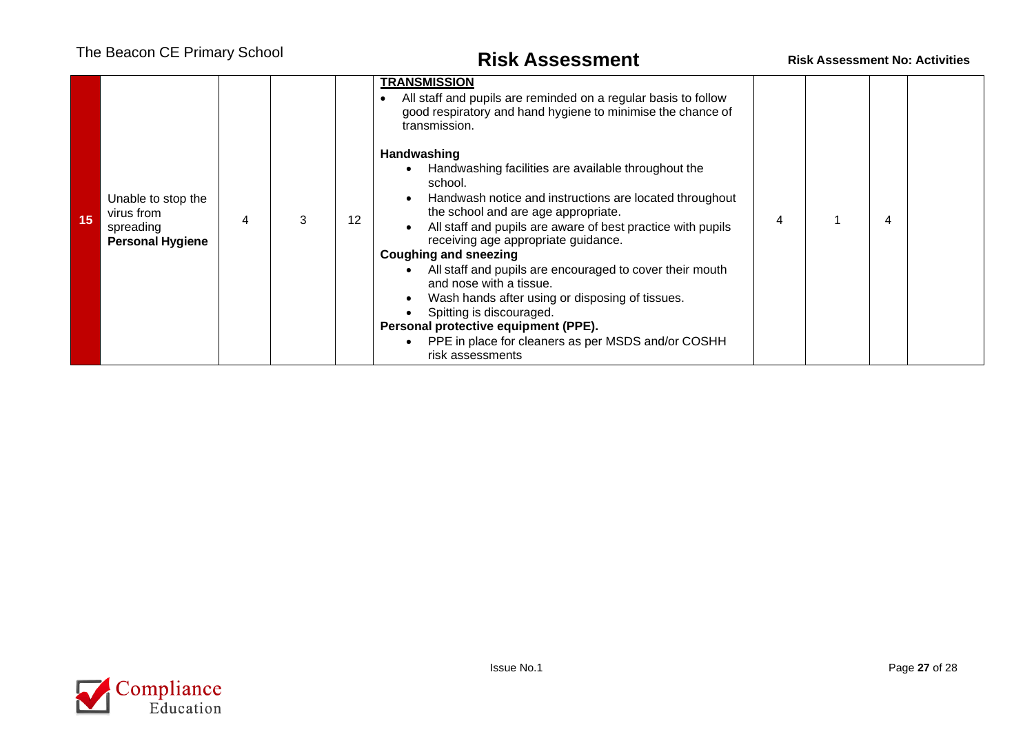| 15 | Unable to stop the<br>virus from<br>spreading<br><b>Personal Hygiene</b> |  | 12 | <b>TRANSMISSION</b><br>All staff and pupils are reminded on a regular basis to follow<br>$\bullet$<br>good respiratory and hand hygiene to minimise the chance of<br>transmission.<br>Handwashing<br>Handwashing facilities are available throughout the<br>school.<br>Handwash notice and instructions are located throughout<br>the school and are age appropriate.<br>All staff and pupils are aware of best practice with pupils<br>receiving age appropriate guidance.<br><b>Coughing and sneezing</b><br>All staff and pupils are encouraged to cover their mouth<br>and nose with a tissue.<br>Wash hands after using or disposing of tissues.<br>Spitting is discouraged.<br>Personal protective equipment (PPE).<br>PPE in place for cleaners as per MSDS and/or COSHH |  |  |
|----|--------------------------------------------------------------------------|--|----|---------------------------------------------------------------------------------------------------------------------------------------------------------------------------------------------------------------------------------------------------------------------------------------------------------------------------------------------------------------------------------------------------------------------------------------------------------------------------------------------------------------------------------------------------------------------------------------------------------------------------------------------------------------------------------------------------------------------------------------------------------------------------------|--|--|
|    |                                                                          |  |    | risk assessments                                                                                                                                                                                                                                                                                                                                                                                                                                                                                                                                                                                                                                                                                                                                                                |  |  |

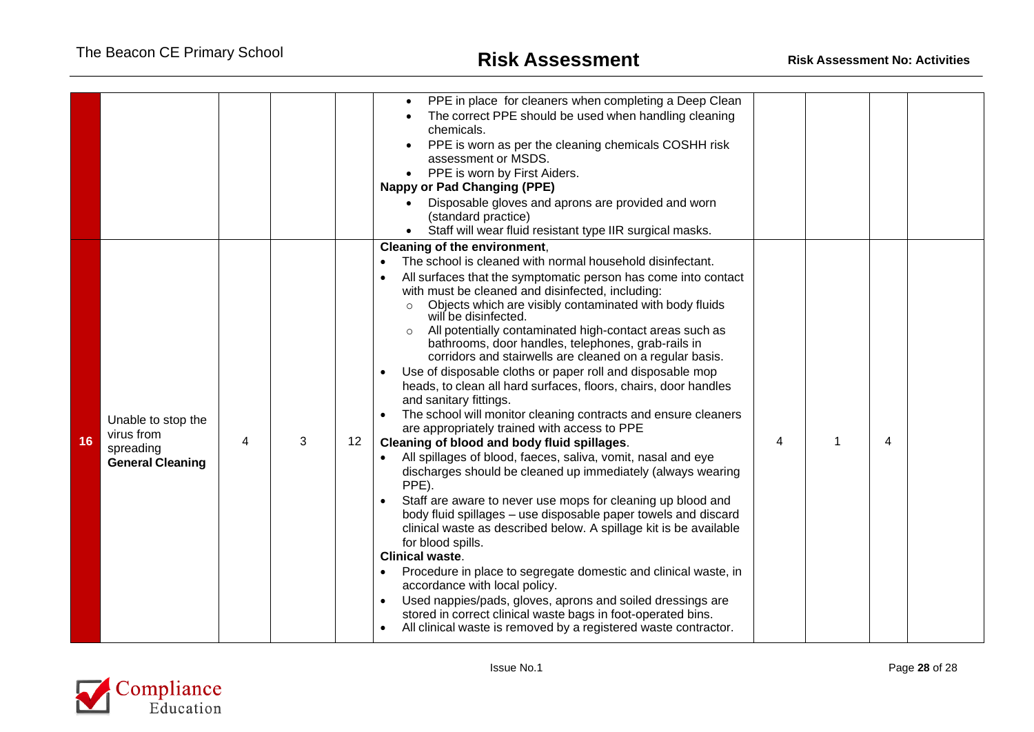|    |                                  |   |   |                                                                                                                                      | PPE in place for cleaners when completing a Deep Clean<br>$\bullet$                                                           |   |   |  |
|----|----------------------------------|---|---|--------------------------------------------------------------------------------------------------------------------------------------|-------------------------------------------------------------------------------------------------------------------------------|---|---|--|
|    |                                  |   |   |                                                                                                                                      | The correct PPE should be used when handling cleaning<br>chemicals.                                                           |   |   |  |
|    |                                  |   |   |                                                                                                                                      | PPE is worn as per the cleaning chemicals COSHH risk<br>assessment or MSDS.                                                   |   |   |  |
|    |                                  |   |   |                                                                                                                                      | PPE is worn by First Aiders.                                                                                                  |   |   |  |
|    |                                  |   |   |                                                                                                                                      | <b>Nappy or Pad Changing (PPE)</b>                                                                                            |   |   |  |
|    |                                  |   |   |                                                                                                                                      | Disposable gloves and aprons are provided and worn<br>$\bullet$                                                               |   |   |  |
|    |                                  |   |   |                                                                                                                                      | (standard practice)                                                                                                           |   |   |  |
|    |                                  |   |   |                                                                                                                                      | Staff will wear fluid resistant type IIR surgical masks.<br>$\bullet$                                                         |   |   |  |
|    |                                  |   |   |                                                                                                                                      | Cleaning of the environment,                                                                                                  |   |   |  |
|    |                                  |   |   |                                                                                                                                      | The school is cleaned with normal household disinfectant.                                                                     |   |   |  |
|    |                                  |   |   |                                                                                                                                      | All surfaces that the symptomatic person has come into contact<br>with must be cleaned and disinfected, including:            |   |   |  |
|    |                                  |   |   | Objects which are visibly contaminated with body fluids<br>$\circ$<br>will be disinfected.                                           |                                                                                                                               |   |   |  |
|    |                                  |   |   | All potentially contaminated high-contact areas such as                                                                              |                                                                                                                               |   |   |  |
|    |                                  |   |   | bathrooms, door handles, telephones, grab-rails in<br>corridors and stairwells are cleaned on a regular basis.                       |                                                                                                                               |   |   |  |
|    |                                  |   |   |                                                                                                                                      | Use of disposable cloths or paper roll and disposable mop                                                                     |   |   |  |
|    |                                  |   |   |                                                                                                                                      | heads, to clean all hard surfaces, floors, chairs, door handles                                                               |   |   |  |
|    |                                  |   |   |                                                                                                                                      | and sanitary fittings.                                                                                                        |   |   |  |
|    | Unable to stop the<br>virus from |   |   |                                                                                                                                      | The school will monitor cleaning contracts and ensure cleaners<br>are appropriately trained with access to PPE                |   |   |  |
| 16 | spreading                        | 4 | 3 | 12                                                                                                                                   | Cleaning of blood and body fluid spillages.                                                                                   | 4 | 4 |  |
|    | <b>General Cleaning</b>          |   |   | All spillages of blood, faeces, saliva, vomit, nasal and eye<br>discharges should be cleaned up immediately (always wearing<br>PPE). |                                                                                                                               |   |   |  |
|    |                                  |   |   |                                                                                                                                      | Staff are aware to never use mops for cleaning up blood and<br>body fluid spillages - use disposable paper towels and discard |   |   |  |
|    |                                  |   |   |                                                                                                                                      | clinical waste as described below. A spillage kit is be available<br>for blood spills.                                        |   |   |  |
|    |                                  |   |   |                                                                                                                                      | <b>Clinical waste.</b>                                                                                                        |   |   |  |
|    |                                  |   |   |                                                                                                                                      | Procedure in place to segregate domestic and clinical waste, in<br>accordance with local policy.                              |   |   |  |
|    |                                  |   |   |                                                                                                                                      | Used nappies/pads, gloves, aprons and soiled dressings are                                                                    |   |   |  |
|    |                                  |   |   |                                                                                                                                      | stored in correct clinical waste bags in foot-operated bins.                                                                  |   |   |  |
|    |                                  |   |   |                                                                                                                                      | All clinical waste is removed by a registered waste contractor.                                                               |   |   |  |
|    |                                  |   |   |                                                                                                                                      |                                                                                                                               |   |   |  |

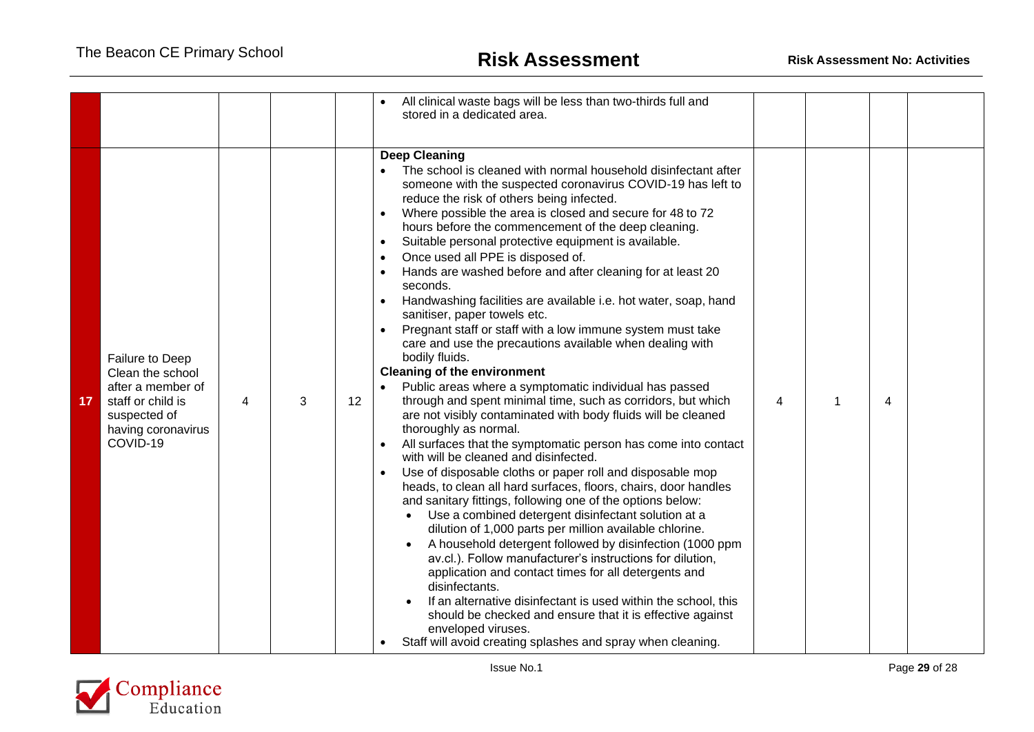|                 |                                                                                                                                 |   |   |    | All clinical waste bags will be less than two-thirds full and<br>stored in a dedicated area.                                                                                                                                                                                                                                                                                                                                                                                                                                                                                                                                                                                                                                                                                                                                                                                                                                                                                                                                                                                                                                                                                                                                                                                                                                                                                                                                                                                                                                                                                                                                                                                                                                                                                                                                                             |   |   |   |  |
|-----------------|---------------------------------------------------------------------------------------------------------------------------------|---|---|----|----------------------------------------------------------------------------------------------------------------------------------------------------------------------------------------------------------------------------------------------------------------------------------------------------------------------------------------------------------------------------------------------------------------------------------------------------------------------------------------------------------------------------------------------------------------------------------------------------------------------------------------------------------------------------------------------------------------------------------------------------------------------------------------------------------------------------------------------------------------------------------------------------------------------------------------------------------------------------------------------------------------------------------------------------------------------------------------------------------------------------------------------------------------------------------------------------------------------------------------------------------------------------------------------------------------------------------------------------------------------------------------------------------------------------------------------------------------------------------------------------------------------------------------------------------------------------------------------------------------------------------------------------------------------------------------------------------------------------------------------------------------------------------------------------------------------------------------------------------|---|---|---|--|
| 17 <sub>2</sub> | Failure to Deep<br>Clean the school<br>after a member of<br>staff or child is<br>suspected of<br>having coronavirus<br>COVID-19 | 4 | 3 | 12 | <b>Deep Cleaning</b><br>The school is cleaned with normal household disinfectant after<br>someone with the suspected coronavirus COVID-19 has left to<br>reduce the risk of others being infected.<br>Where possible the area is closed and secure for 48 to 72<br>hours before the commencement of the deep cleaning.<br>Suitable personal protective equipment is available.<br>Once used all PPE is disposed of.<br>Hands are washed before and after cleaning for at least 20<br>seconds.<br>Handwashing facilities are available i.e. hot water, soap, hand<br>sanitiser, paper towels etc.<br>Pregnant staff or staff with a low immune system must take<br>care and use the precautions available when dealing with<br>bodily fluids.<br><b>Cleaning of the environment</b><br>Public areas where a symptomatic individual has passed<br>through and spent minimal time, such as corridors, but which<br>are not visibly contaminated with body fluids will be cleaned<br>thoroughly as normal.<br>All surfaces that the symptomatic person has come into contact<br>with will be cleaned and disinfected.<br>Use of disposable cloths or paper roll and disposable mop<br>heads, to clean all hard surfaces, floors, chairs, door handles<br>and sanitary fittings, following one of the options below:<br>Use a combined detergent disinfectant solution at a<br>dilution of 1,000 parts per million available chlorine.<br>A household detergent followed by disinfection (1000 ppm<br>av.cl.). Follow manufacturer's instructions for dilution,<br>application and contact times for all detergents and<br>disinfectants.<br>If an alternative disinfectant is used within the school, this<br>should be checked and ensure that it is effective against<br>enveloped viruses.<br>Staff will avoid creating splashes and spray when cleaning. | 4 | 1 | 4 |  |

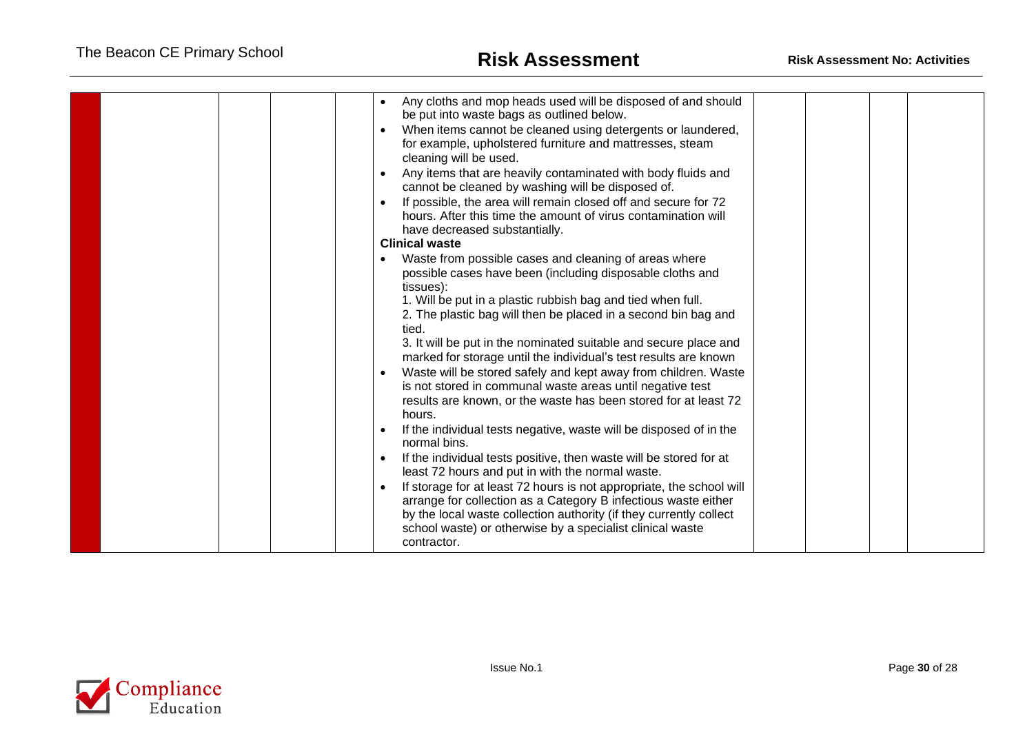|  | Any cloths and mop heads used will be disposed of and should<br>be put into waste bags as outlined below.<br>When items cannot be cleaned using detergents or laundered,<br>for example, upholstered furniture and mattresses, steam<br>cleaning will be used.<br>Any items that are heavily contaminated with body fluids and<br>cannot be cleaned by washing will be disposed of.<br>If possible, the area will remain closed off and secure for 72<br>hours. After this time the amount of virus contamination will<br>have decreased substantially.<br><b>Clinical waste</b><br>Waste from possible cases and cleaning of areas where<br>possible cases have been (including disposable cloths and<br>tissues):<br>1. Will be put in a plastic rubbish bag and tied when full.<br>2. The plastic bag will then be placed in a second bin bag and<br>tied.<br>3. It will be put in the nominated suitable and secure place and<br>marked for storage until the individual's test results are known<br>Waste will be stored safely and kept away from children. Waste<br>is not stored in communal waste areas until negative test<br>results are known, or the waste has been stored for at least 72<br>hours.<br>If the individual tests negative, waste will be disposed of in the<br>normal bins.<br>If the individual tests positive, then waste will be stored for at<br>least 72 hours and put in with the normal waste.<br>If storage for at least 72 hours is not appropriate, the school will<br>arrange for collection as a Category B infectious waste either<br>by the local waste collection authority (if they currently collect |  |  |  |
|--|---------------------------------------------------------------------------------------------------------------------------------------------------------------------------------------------------------------------------------------------------------------------------------------------------------------------------------------------------------------------------------------------------------------------------------------------------------------------------------------------------------------------------------------------------------------------------------------------------------------------------------------------------------------------------------------------------------------------------------------------------------------------------------------------------------------------------------------------------------------------------------------------------------------------------------------------------------------------------------------------------------------------------------------------------------------------------------------------------------------------------------------------------------------------------------------------------------------------------------------------------------------------------------------------------------------------------------------------------------------------------------------------------------------------------------------------------------------------------------------------------------------------------------------------------------------------------------------------------------------------------------------------------|--|--|--|
|  | school waste) or otherwise by a specialist clinical waste<br>contractor.                                                                                                                                                                                                                                                                                                                                                                                                                                                                                                                                                                                                                                                                                                                                                                                                                                                                                                                                                                                                                                                                                                                                                                                                                                                                                                                                                                                                                                                                                                                                                                          |  |  |  |

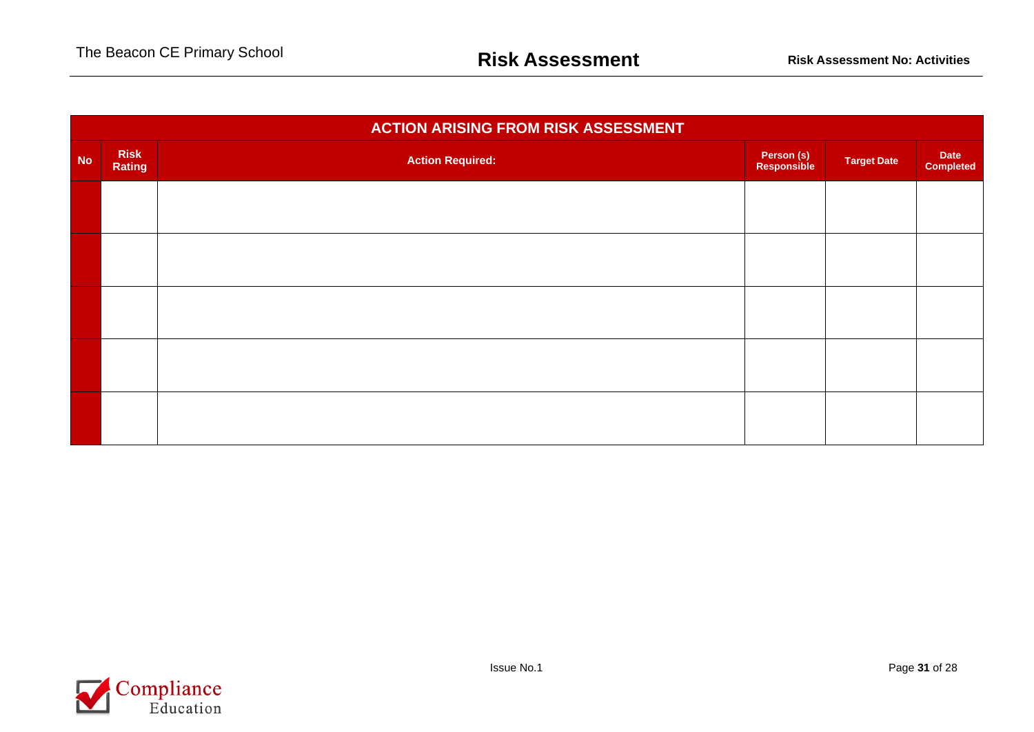|           | <b>ACTION ARISING FROM RISK ASSESSMENT</b> |                         |                           |                    |                          |  |  |  |  |  |  |  |  |
|-----------|--------------------------------------------|-------------------------|---------------------------|--------------------|--------------------------|--|--|--|--|--|--|--|--|
| <b>No</b> | <b>Risk</b><br>Rating                      | <b>Action Required:</b> | Person (s)<br>Responsible | <b>Target Date</b> | Date<br><b>Completed</b> |  |  |  |  |  |  |  |  |
|           |                                            |                         |                           |                    |                          |  |  |  |  |  |  |  |  |
|           |                                            |                         |                           |                    |                          |  |  |  |  |  |  |  |  |
|           |                                            |                         |                           |                    |                          |  |  |  |  |  |  |  |  |
|           |                                            |                         |                           |                    |                          |  |  |  |  |  |  |  |  |
|           |                                            |                         |                           |                    |                          |  |  |  |  |  |  |  |  |

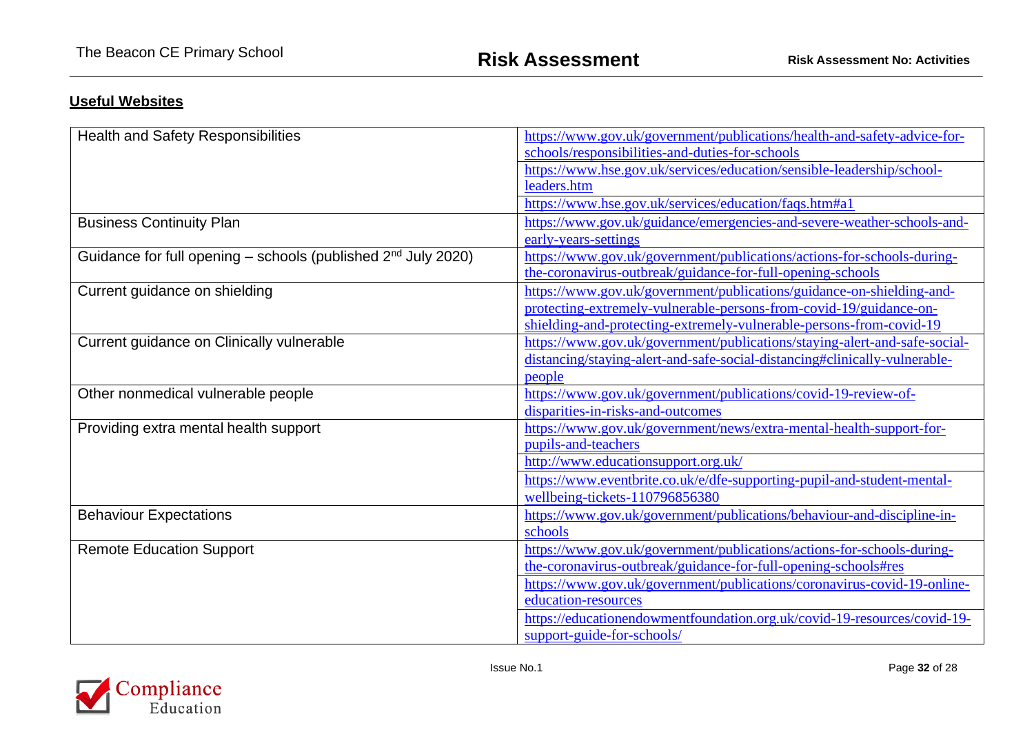## **Useful Websites**

| <b>Health and Safety Responsibilities</b>                                 | https://www.gov.uk/government/publications/health-and-safety-advice-for-   |
|---------------------------------------------------------------------------|----------------------------------------------------------------------------|
|                                                                           | schools/responsibilities-and-duties-for-schools                            |
|                                                                           | https://www.hse.gov.uk/services/education/sensible-leadership/school-      |
|                                                                           | leaders.htm                                                                |
|                                                                           | https://www.hse.gov.uk/services/education/faqs.htm#a1                      |
| <b>Business Continuity Plan</b>                                           | https://www.gov.uk/guidance/emergencies-and-severe-weather-schools-and-    |
|                                                                           | early-years-settings                                                       |
| Guidance for full opening - schools (published 2 <sup>nd</sup> July 2020) | https://www.gov.uk/government/publications/actions-for-schools-during-     |
|                                                                           | the-coronavirus-outbreak/guidance-for-full-opening-schools                 |
| Current guidance on shielding                                             | https://www.gov.uk/government/publications/guidance-on-shielding-and-      |
|                                                                           | protecting-extremely-vulnerable-persons-from-covid-19/guidance-on-         |
|                                                                           | shielding-and-protecting-extremely-vulnerable-persons-from-covid-19        |
| Current guidance on Clinically vulnerable                                 | https://www.gov.uk/government/publications/staying-alert-and-safe-social-  |
|                                                                           | distancing/staying-alert-and-safe-social-distancing#clinically-vulnerable- |
|                                                                           | people                                                                     |
| Other nonmedical vulnerable people                                        | https://www.gov.uk/government/publications/covid-19-review-of-             |
|                                                                           | disparities-in-risks-and-outcomes                                          |
| Providing extra mental health support                                     | https://www.gov.uk/government/news/extra-mental-health-support-for-        |
|                                                                           | pupils-and-teachers                                                        |
|                                                                           | http://www.educationsupport.org.uk/                                        |
|                                                                           | https://www.eventbrite.co.uk/e/dfe-supporting-pupil-and-student-mental-    |
|                                                                           | wellbeing-tickets-110796856380                                             |
| <b>Behaviour Expectations</b>                                             | https://www.gov.uk/government/publications/behaviour-and-discipline-in-    |
|                                                                           | schools                                                                    |
| <b>Remote Education Support</b>                                           | https://www.gov.uk/government/publications/actions-for-schools-during-     |
|                                                                           | the-coronavirus-outbreak/guidance-for-full-opening-schools#res             |
|                                                                           | https://www.gov.uk/government/publications/coronavirus-covid-19-online-    |
|                                                                           | education-resources                                                        |
|                                                                           | https://educationendowmentfoundation.org.uk/covid-19-resources/covid-19-   |
|                                                                           | support-guide-for-schools/                                                 |

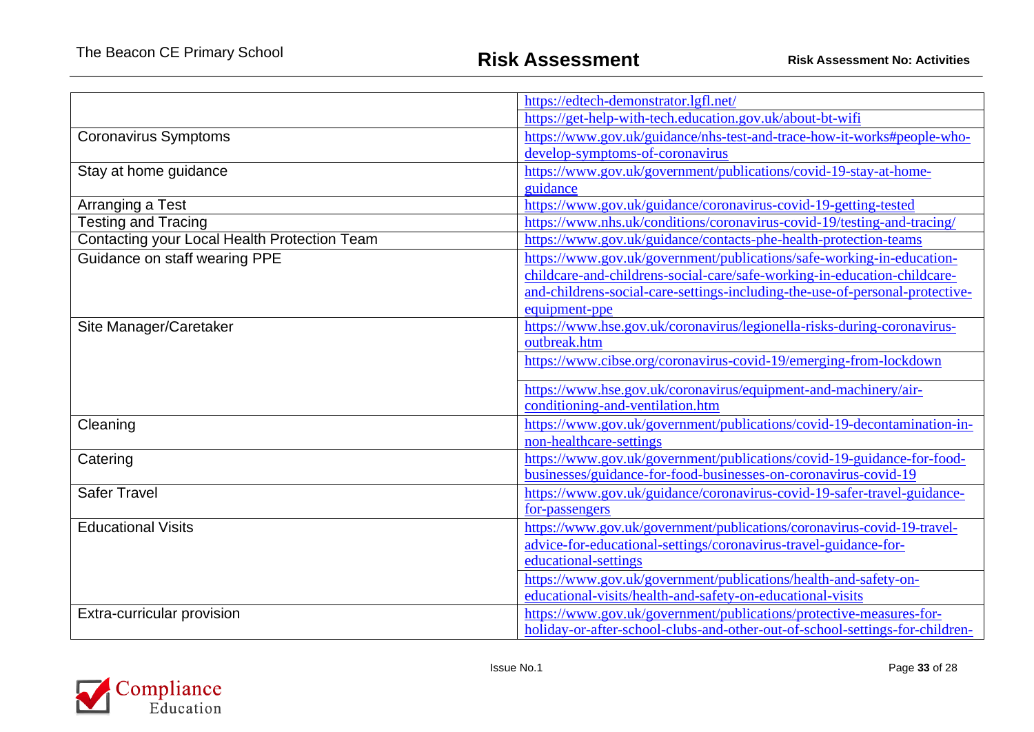|                                              | https://edtech-demonstrator.lgfl.net/                                        |
|----------------------------------------------|------------------------------------------------------------------------------|
|                                              | https://get-help-with-tech.education.gov.uk/about-bt-wifi                    |
| <b>Coronavirus Symptoms</b>                  | https://www.gov.uk/guidance/nhs-test-and-trace-how-it-works#people-who-      |
|                                              | develop-symptoms-of-coronavirus                                              |
| Stay at home guidance                        | https://www.gov.uk/government/publications/covid-19-stay-at-home-            |
|                                              | guidance                                                                     |
| Arranging a Test                             | https://www.gov.uk/guidance/coronavirus-covid-19-getting-tested              |
| <b>Testing and Tracing</b>                   | https://www.nhs.uk/conditions/coronavirus-covid-19/testing-and-tracing/      |
| Contacting your Local Health Protection Team | https://www.gov.uk/guidance/contacts-phe-health-protection-teams             |
| Guidance on staff wearing PPE                | https://www.gov.uk/government/publications/safe-working-in-education-        |
|                                              | childcare-and-childrens-social-care/safe-working-in-education-childcare-     |
|                                              | and-childrens-social-care-settings-including-the-use-of-personal-protective- |
|                                              | equipment-ppe                                                                |
| Site Manager/Caretaker                       | https://www.hse.gov.uk/coronavirus/legionella-risks-during-coronavirus-      |
|                                              | outbreak.htm                                                                 |
|                                              | https://www.cibse.org/coronavirus-covid-19/emerging-from-lockdown            |
|                                              | https://www.hse.gov.uk/coronavirus/equipment-and-machinery/air-              |
|                                              | conditioning-and-ventilation.htm                                             |
| Cleaning                                     | https://www.gov.uk/government/publications/covid-19-decontamination-in-      |
|                                              | non-healthcare-settings                                                      |
| Catering                                     | https://www.gov.uk/government/publications/covid-19-guidance-for-food-       |
|                                              | businesses/guidance-for-food-businesses-on-coronavirus-covid-19              |
| <b>Safer Travel</b>                          | https://www.gov.uk/guidance/coronavirus-covid-19-safer-travel-guidance-      |
|                                              | for-passengers                                                               |
| <b>Educational Visits</b>                    | https://www.gov.uk/government/publications/coronavirus-covid-19-travel-      |
|                                              | advice-for-educational-settings/coronavirus-travel-guidance-for-             |
|                                              | educational-settings                                                         |
|                                              | https://www.gov.uk/government/publications/health-and-safety-on-             |
|                                              | educational-visits/health-and-safety-on-educational-visits                   |
| Extra-curricular provision                   | https://www.gov.uk/government/publications/protective-measures-for-          |
|                                              | holiday-or-after-school-clubs-and-other-out-of-school-settings-for-children- |

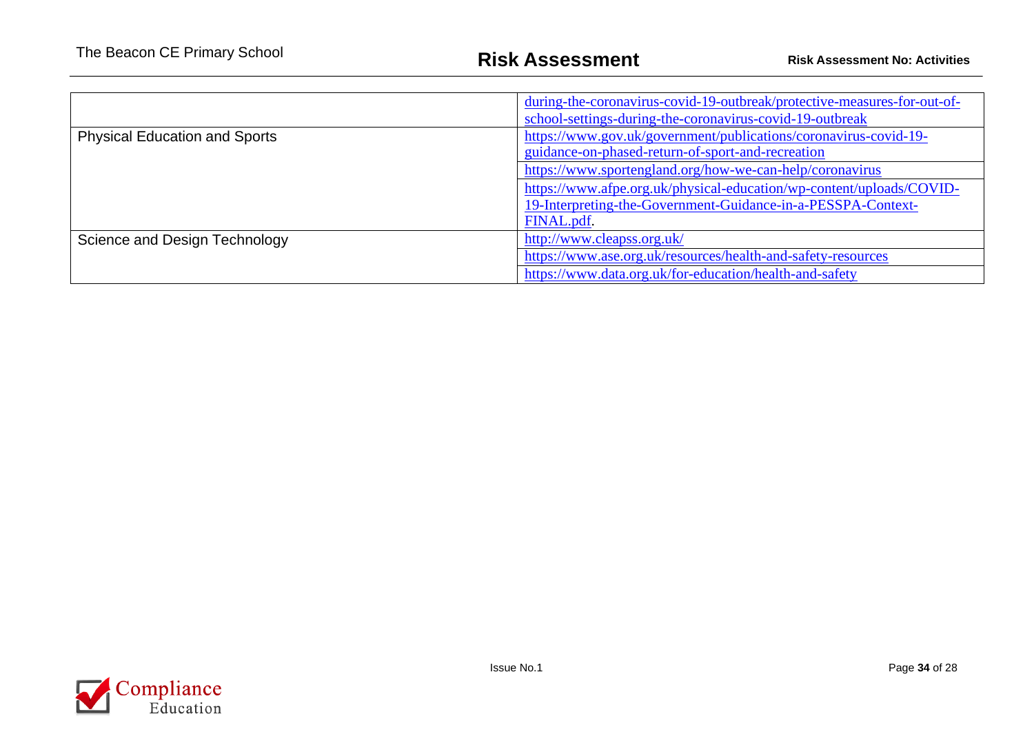|                                      | during-the-coronavirus-covid-19-outbreak/protective-measures-for-out-of-<br>school-settings-during-the-coronavirus-covid-19-outbreak |
|--------------------------------------|--------------------------------------------------------------------------------------------------------------------------------------|
| <b>Physical Education and Sports</b> | https://www.gov.uk/government/publications/coronavirus-covid-19-<br>guidance-on-phased-return-of-sport-and-recreation                |
|                                      | https://www.sportengland.org/how-we-can-help/coronavirus                                                                             |
|                                      | https://www.afpe.org.uk/physical-education/wp-content/uploads/COVID-                                                                 |
|                                      | 19-Interpreting-the-Government-Guidance-in-a-PESSPA-Context-                                                                         |
|                                      | FINAL.pdf.                                                                                                                           |
| Science and Design Technology        | http://www.cleapss.org.uk/                                                                                                           |
|                                      | https://www.ase.org.uk/resources/health-and-safety-resources                                                                         |
|                                      | https://www.data.org.uk/for-education/health-and-safety                                                                              |